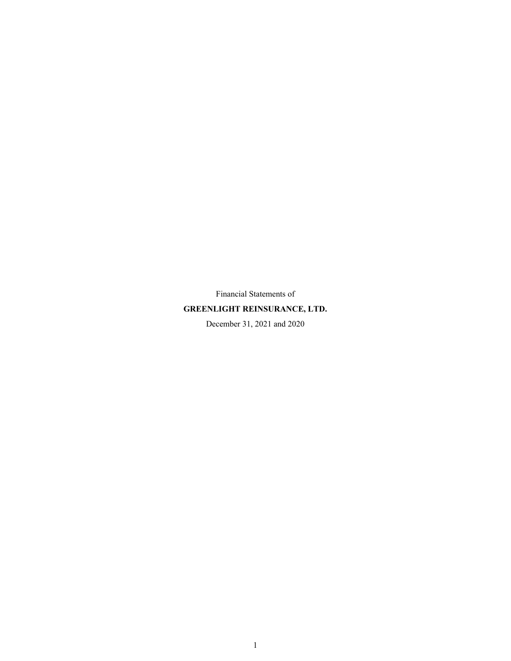Financial Statements of

# **GREENLIGHT REINSURANCE, LTD.**

December 31, 2021 and 2020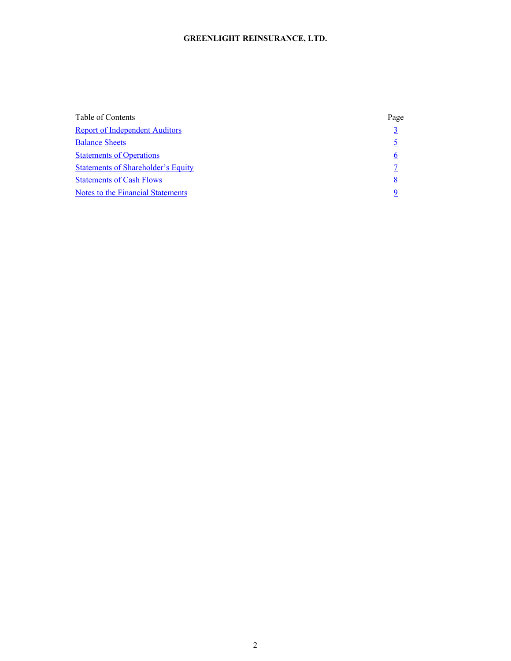# **GREENLIGHT REINSURANCE, LTD.**

| Table of Contents                         | Page |
|-------------------------------------------|------|
| <b>Report of Independent Auditors</b>     |      |
| <b>Balance Sheets</b>                     |      |
| <b>Statements of Operations</b>           |      |
| <b>Statements of Shareholder's Equity</b> |      |
| <b>Statements of Cash Flows</b>           |      |
| Notes to the Financial Statements         |      |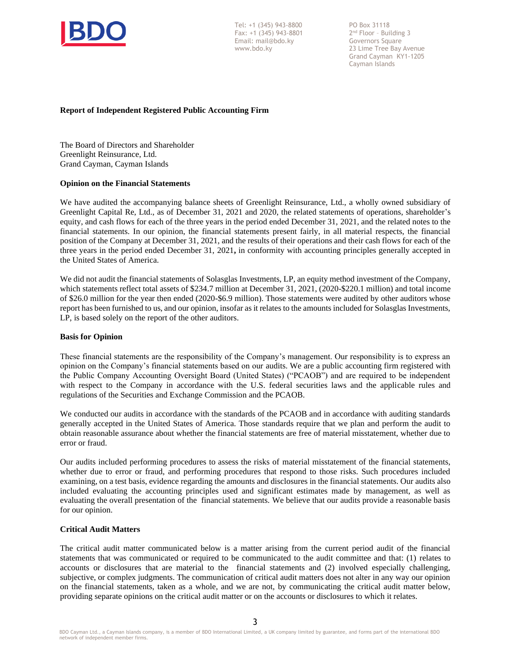

Tel: +1 (345) 943-8800 Fax: +1 (345) 943-8801 Email: mail@bdo.ky www.bdo.ky

PO Box 31118 2<sup>nd</sup> Floor - Building 3 Governors Square 23 Lime Tree Bay Avenue Grand Cayman KY1-1205 Cayman Islands

## **Report of Independent Registered Public Accounting Firm**

The Board of Directors and Shareholder Greenlight Reinsurance, Ltd. Grand Cayman, Cayman Islands

## **Opinion on the Financial Statements**

We have audited the accompanying balance sheets of Greenlight Reinsurance, Ltd., a wholly owned subsidiary of Greenlight Capital Re, Ltd., as of December 31, 2021 and 2020, the related statements of operations, shareholder's equity, and cash flows for each of the three years in the period ended December 31, 2021, and the related notes to the financial statements. In our opinion, the financial statements present fairly, in all material respects, the financial position of the Company at December 31, 2021, and the results of their operations and their cash flows for each of the three years in the period ended December 31, 2021**,** in conformity with accounting principles generally accepted in the United States of America.

We did not audit the financial statements of Solasglas Investments, LP, an equity method investment of the Company, which statements reflect total assets of \$234.7 million at December 31, 2021, (2020-\$220.1 million) and total income of \$26.0 million for the year then ended (2020-\$6.9 million). Those statements were audited by other auditors whose report has been furnished to us, and our opinion, insofar as it relates to the amounts included for Solasglas Investments, LP, is based solely on the report of the other auditors.

### **Basis for Opinion**

These financial statements are the responsibility of the Company's management. Our responsibility is to express an opinion on the Company's financial statements based on our audits. We are a public accounting firm registered with the Public Company Accounting Oversight Board (United States) ("PCAOB") and are required to be independent with respect to the Company in accordance with the U.S. federal securities laws and the applicable rules and regulations of the Securities and Exchange Commission and the PCAOB.

We conducted our audits in accordance with the standards of the PCAOB and in accordance with auditing standards generally accepted in the United States of America. Those standards require that we plan and perform the audit to obtain reasonable assurance about whether the financial statements are free of material misstatement, whether due to error or fraud.

Our audits included performing procedures to assess the risks of material misstatement of the financial statements, whether due to error or fraud, and performing procedures that respond to those risks. Such procedures included examining, on a test basis, evidence regarding the amounts and disclosures in the financial statements. Our audits also included evaluating the accounting principles used and significant estimates made by management, as well as evaluating the overall presentation of the financial statements. We believe that our audits provide a reasonable basis for our opinion.

## **Critical Audit Matters**

The critical audit matter communicated below is a matter arising from the current period audit of the financial statements that was communicated or required to be communicated to the audit committee and that: (1) relates to accounts or disclosures that are material to the financial statements and (2) involved especially challenging, subjective, or complex judgments. The communication of critical audit matters does not alter in any way our opinion on the financial statements, taken as a whole, and we are not, by communicating the critical audit matter below, providing separate opinions on the critical audit matter or on the accounts or disclosures to which it relates.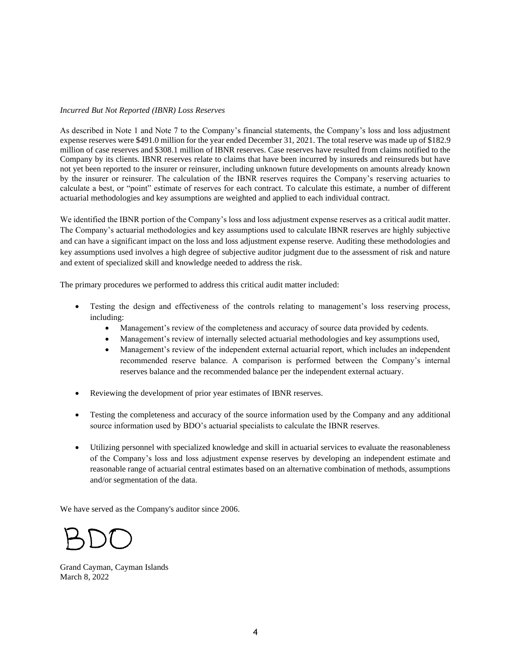## *Incurred But Not Reported (IBNR) Loss Reserves*

As described in Note 1 and Note 7 to the Company's financial statements, the Company's loss and loss adjustment expense reserves were \$491.0 million for the year ended December 31, 2021. The total reserve was made up of \$182.9 million of case reserves and \$308.1 million of IBNR reserves. Case reserves have resulted from claims notified to the Company by its clients. IBNR reserves relate to claims that have been incurred by insureds and reinsureds but have not yet been reported to the insurer or reinsurer, including unknown future developments on amounts already known by the insurer or reinsurer. The calculation of the IBNR reserves requires the Company's reserving actuaries to calculate a best, or "point" estimate of reserves for each contract. To calculate this estimate, a number of different actuarial methodologies and key assumptions are weighted and applied to each individual contract.

We identified the IBNR portion of the Company's loss and loss adjustment expense reserves as a critical audit matter. The Company's actuarial methodologies and key assumptions used to calculate IBNR reserves are highly subjective and can have a significant impact on the loss and loss adjustment expense reserve. Auditing these methodologies and key assumptions used involves a high degree of subjective auditor judgment due to the assessment of risk and nature and extent of specialized skill and knowledge needed to address the risk.

The primary procedures we performed to address this critical audit matter included:

- Testing the design and effectiveness of the controls relating to management's loss reserving process, including:
	- Management's review of the completeness and accuracy of source data provided by cedents.
	- Management's review of internally selected actuarial methodologies and key assumptions used,
	- Management's review of the independent external actuarial report, which includes an independent recommended reserve balance. A comparison is performed between the Company's internal reserves balance and the recommended balance per the independent external actuary.
- Reviewing the development of prior year estimates of IBNR reserves.
- Testing the completeness and accuracy of the source information used by the Company and any additional source information used by BDO's actuarial specialists to calculate the IBNR reserves.
- Utilizing personnel with specialized knowledge and skill in actuarial services to evaluate the reasonableness of the Company's loss and loss adjustment expense reserves by developing an independent estimate and reasonable range of actuarial central estimates based on an alternative combination of methods, assumptions and/or segmentation of the data.

We have served as the Company's auditor since 2006.



Grand Cayman, Cayman Islands March 8, 2022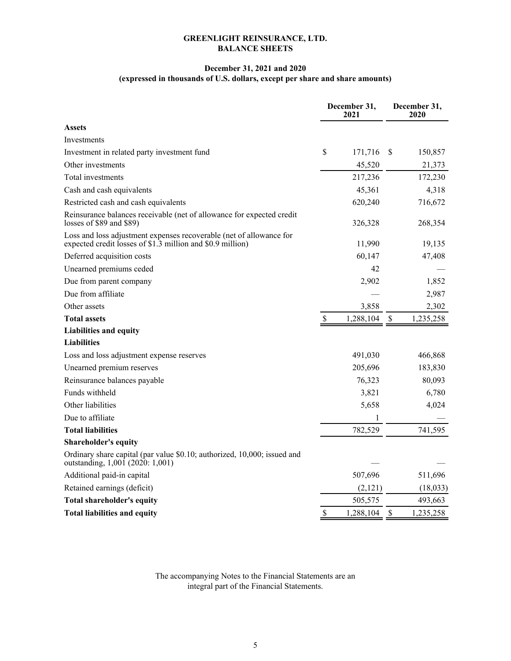# **GREENLIGHT REINSURANCE, LTD. BALANCE SHEETS**

# **December 31, 2021 and 2020**

# **(expressed in thousands of U.S. dollars, except per share and share amounts)**

<span id="page-4-0"></span>

|                                                                                                                                   | December 31,<br>2021 | December 31,<br><b>2020</b> |           |  |
|-----------------------------------------------------------------------------------------------------------------------------------|----------------------|-----------------------------|-----------|--|
| <b>Assets</b>                                                                                                                     |                      |                             |           |  |
| Investments                                                                                                                       |                      |                             |           |  |
| Investment in related party investment fund                                                                                       | \$<br>171,716        | <sup>\$</sup>               | 150,857   |  |
| Other investments                                                                                                                 | 45,520               |                             | 21,373    |  |
| Total investments                                                                                                                 | 217,236              |                             | 172,230   |  |
| Cash and cash equivalents                                                                                                         | 45,361               |                             | 4,318     |  |
| Restricted cash and cash equivalents                                                                                              | 620,240              |                             | 716,672   |  |
| Reinsurance balances receivable (net of allowance for expected credit<br>losses of \$89 and \$89)                                 | 326,328              |                             | 268,354   |  |
| Loss and loss adjustment expenses recoverable (net of allowance for<br>expected credit losses of \$1.3 million and \$0.9 million) | 11,990               |                             | 19,135    |  |
| Deferred acquisition costs                                                                                                        | 60,147               |                             | 47,408    |  |
| Unearned premiums ceded                                                                                                           | 42                   |                             |           |  |
| Due from parent company                                                                                                           | 2,902                |                             | 1,852     |  |
| Due from affiliate                                                                                                                |                      |                             | 2,987     |  |
| Other assets                                                                                                                      | 3,858                |                             | 2,302     |  |
| <b>Total assets</b>                                                                                                               | \$<br>1,288,104      | \$                          | 1,235,258 |  |
| <b>Liabilities and equity</b>                                                                                                     |                      |                             |           |  |
| <b>Liabilities</b>                                                                                                                |                      |                             |           |  |
| Loss and loss adjustment expense reserves                                                                                         | 491,030              |                             | 466,868   |  |
| Unearned premium reserves                                                                                                         | 205,696              |                             | 183,830   |  |
| Reinsurance balances payable                                                                                                      | 76,323               |                             | 80,093    |  |
| Funds withheld                                                                                                                    | 3,821                |                             | 6,780     |  |
| Other liabilities                                                                                                                 | 5,658                |                             | 4,024     |  |
| Due to affiliate                                                                                                                  | 1                    |                             |           |  |
| <b>Total liabilities</b>                                                                                                          | 782,529              |                             | 741,595   |  |
| Shareholder's equity                                                                                                              |                      |                             |           |  |
| Ordinary share capital (par value \$0.10; authorized, 10,000; issued and<br>outstanding, 1,001 (2020: 1,001)                      |                      |                             |           |  |
| Additional paid-in capital                                                                                                        | 507,696              |                             | 511,696   |  |
| Retained earnings (deficit)                                                                                                       | (2,121)              |                             | (18,033)  |  |
| <b>Total shareholder's equity</b>                                                                                                 | 505,575              |                             | 493,663   |  |
| <b>Total liabilities and equity</b>                                                                                               | \$<br>1,288,104      | \$                          | 1,235,258 |  |

The accompanying Notes to the Financial Statements are an integral part of the Financial Statements.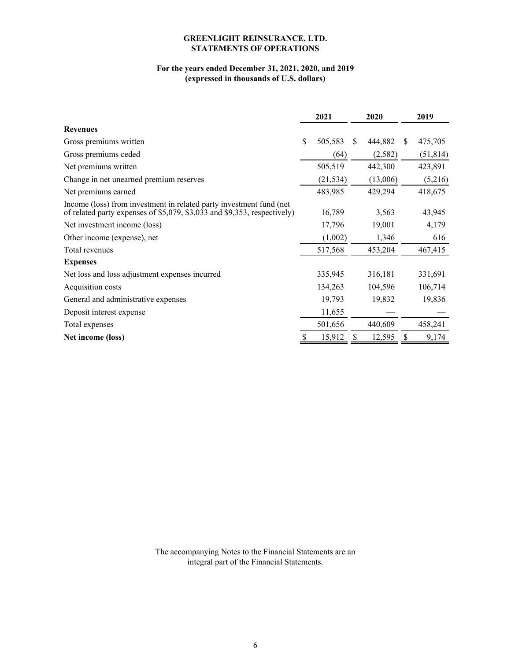# **GREENLIGHT REINSURANCE, LTD. STATEMENTS OF OPERATIONS**

# **For the years ended December 31, 2021, 2020, and 2019 (expressed in thousands of U.S. dollars)**

<span id="page-5-0"></span>

|                                                                                                                                                 | 2021          |   | 2020     |     | 2019      |
|-------------------------------------------------------------------------------------------------------------------------------------------------|---------------|---|----------|-----|-----------|
| <b>Revenues</b>                                                                                                                                 |               |   |          |     |           |
| Gross premiums written                                                                                                                          | \$<br>505,583 | S | 444,882  | \$. | 475,705   |
| Gross premiums ceded                                                                                                                            | (64)          |   | (2,582)  |     | (51, 814) |
| Net premiums written                                                                                                                            | 505,519       |   | 442,300  |     | 423,891   |
| Change in net unearned premium reserves                                                                                                         | (21, 534)     |   | (13,006) |     | (5,216)   |
| Net premiums earned                                                                                                                             | 483,985       |   | 429,294  |     | 418,675   |
| Income (loss) from investment in related party investment fund (net<br>of related party expenses of \$5,079, \$3,033 and \$9,353, respectively) | 16,789        |   | 3,563    |     | 43,945    |
| Net investment income (loss)                                                                                                                    | 17,796        |   | 19,001   |     | 4,179     |
| Other income (expense), net                                                                                                                     | (1,002)       |   | 1,346    |     | 616       |
| Total revenues                                                                                                                                  | 517,568       |   | 453,204  |     | 467,415   |
| <b>Expenses</b>                                                                                                                                 |               |   |          |     |           |
| Net loss and loss adjustment expenses incurred                                                                                                  | 335,945       |   | 316,181  |     | 331,691   |
| Acquisition costs                                                                                                                               | 134,263       |   | 104,596  |     | 106,714   |
| General and administrative expenses                                                                                                             | 19,793        |   | 19,832   |     | 19,836    |
| Deposit interest expense                                                                                                                        | 11,655        |   |          |     |           |
| Total expenses                                                                                                                                  | 501,656       |   | 440,609  |     | 458,241   |
| Net income (loss)                                                                                                                               | \$<br>15,912  | S | 12,595   | S   | 9,174     |

The accompanying Notes to the Financial Statements are an integral part of the Financial Statements.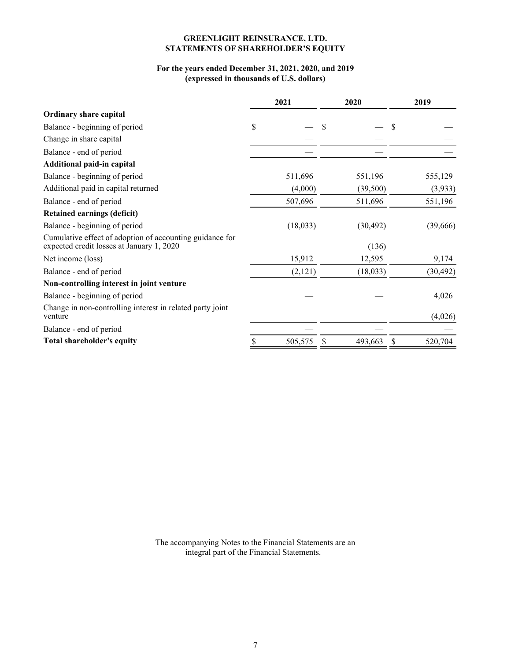# **GREENLIGHT REINSURANCE, LTD. STATEMENTS OF SHAREHOLDER'S EQUITY**

# **For the years ended December 31, 2021, 2020, and 2019 (expressed in thousands of U.S. dollars)**

<span id="page-6-0"></span>

|                                                                                                       |    | 2021     |   | 2020      | 2019 |           |  |
|-------------------------------------------------------------------------------------------------------|----|----------|---|-----------|------|-----------|--|
| <b>Ordinary share capital</b>                                                                         |    |          |   |           |      |           |  |
| Balance - beginning of period                                                                         | \$ |          |   |           |      |           |  |
| Change in share capital                                                                               |    |          |   |           |      |           |  |
| Balance - end of period                                                                               |    |          |   |           |      |           |  |
| Additional paid-in capital                                                                            |    |          |   |           |      |           |  |
| Balance - beginning of period                                                                         |    | 511,696  |   | 551,196   |      | 555,129   |  |
| Additional paid in capital returned                                                                   |    | (4,000)  |   | (39,500)  |      | (3,933)   |  |
| Balance - end of period                                                                               |    | 507,696  |   | 511,696   |      | 551,196   |  |
| <b>Retained earnings (deficit)</b>                                                                    |    |          |   |           |      |           |  |
| Balance - beginning of period                                                                         |    | (18,033) |   | (30, 492) |      | (39,666)  |  |
| Cumulative effect of adoption of accounting guidance for<br>expected credit losses at January 1, 2020 |    |          |   | (136)     |      |           |  |
| Net income (loss)                                                                                     |    | 15,912   |   | 12,595    |      | 9,174     |  |
| Balance - end of period                                                                               |    | (2, 121) |   | (18, 033) |      | (30, 492) |  |
| Non-controlling interest in joint venture                                                             |    |          |   |           |      |           |  |
| Balance - beginning of period                                                                         |    |          |   |           |      | 4,026     |  |
| Change in non-controlling interest in related party joint<br>venture                                  |    |          |   |           |      | (4,026)   |  |
| Balance - end of period                                                                               |    |          |   |           |      |           |  |
| <b>Total shareholder's equity</b>                                                                     | S  | 505,575  | S | 493,663   | S    | 520,704   |  |

The accompanying Notes to the Financial Statements are an integral part of the Financial Statements.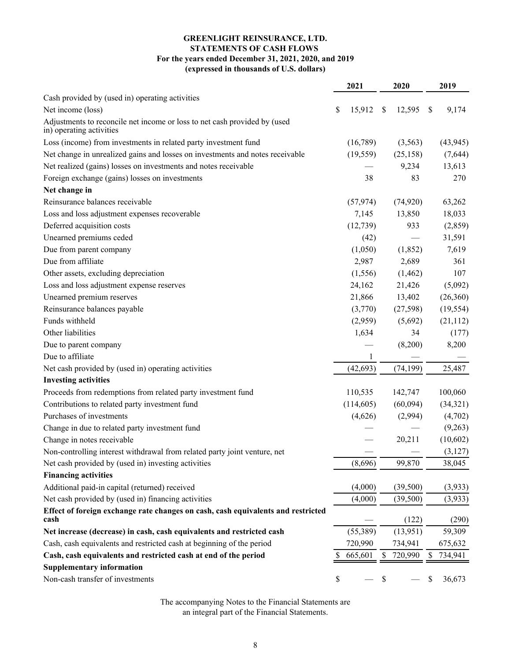# **GREENLIGHT REINSURANCE, LTD. STATEMENTS OF CASH FLOWS For the years ended December 31, 2021, 2020, and 2019 (expressed in thousands of U.S. dollars)**

<span id="page-7-0"></span>

|                                                                                                       | 2021 |              | 2020                      |           | 2019 |           |
|-------------------------------------------------------------------------------------------------------|------|--------------|---------------------------|-----------|------|-----------|
| Cash provided by (used in) operating activities                                                       |      |              |                           |           |      |           |
| Net income (loss)                                                                                     | \$   | 15,912       | $\boldsymbol{\mathsf{S}}$ | 12,595    | \$   | 9,174     |
| Adjustments to reconcile net income or loss to net cash provided by (used<br>in) operating activities |      |              |                           |           |      |           |
| Loss (income) from investments in related party investment fund                                       |      | (16,789)     |                           | (3,563)   |      | (43, 945) |
| Net change in unrealized gains and losses on investments and notes receivable                         |      | (19, 559)    |                           | (25, 158) |      | (7,644)   |
| Net realized (gains) losses on investments and notes receivable                                       |      |              |                           | 9,234     |      | 13,613    |
| Foreign exchange (gains) losses on investments                                                        |      | 38           |                           | 83        |      | 270       |
| Net change in                                                                                         |      |              |                           |           |      |           |
| Reinsurance balances receivable                                                                       |      | (57, 974)    |                           | (74, 920) |      | 63,262    |
| Loss and loss adjustment expenses recoverable                                                         |      | 7,145        |                           | 13,850    |      | 18,033    |
| Deferred acquisition costs                                                                            |      | (12, 739)    |                           | 933       |      | (2,859)   |
| Unearned premiums ceded                                                                               |      | (42)         |                           |           |      | 31,591    |
| Due from parent company                                                                               |      | (1,050)      |                           | (1, 852)  |      | 7,619     |
| Due from affiliate                                                                                    |      | 2,987        |                           | 2,689     |      | 361       |
| Other assets, excluding depreciation                                                                  |      | (1, 556)     |                           | (1, 462)  |      | 107       |
| Loss and loss adjustment expense reserves                                                             |      | 24,162       |                           | 21,426    |      | (5,092)   |
| Unearned premium reserves                                                                             |      | 21,866       |                           | 13,402    |      | (26,360)  |
| Reinsurance balances payable                                                                          |      | (3,770)      |                           | (27,598)  |      | (19, 554) |
| Funds withheld                                                                                        |      | (2,959)      |                           | (5,692)   |      | (21, 112) |
| Other liabilities                                                                                     |      | 1,634        |                           | 34        |      | (177)     |
| Due to parent company                                                                                 |      |              |                           | (8,200)   |      | 8,200     |
| Due to affiliate                                                                                      |      | $\mathbf{1}$ |                           |           |      |           |
| Net cash provided by (used in) operating activities                                                   |      | (42, 693)    |                           | (74, 199) |      | 25,487    |
| <b>Investing activities</b>                                                                           |      |              |                           |           |      |           |
| Proceeds from redemptions from related party investment fund                                          |      | 110,535      |                           | 142,747   |      | 100,060   |
| Contributions to related party investment fund                                                        |      | (114, 605)   |                           | (60,094)  |      | (34,321)  |
| Purchases of investments                                                                              |      | (4,626)      |                           | (2,994)   |      | (4,702)   |
| Change in due to related party investment fund                                                        |      |              |                           |           |      | (9,263)   |
| Change in notes receivable                                                                            |      |              |                           | 20,211    |      | (10,602)  |
| Non-controlling interest withdrawal from related party joint venture, net                             |      |              |                           |           |      | (3,127)   |
| Net cash provided by (used in) investing activities                                                   |      | (8,696)      |                           | 99,870    |      | 38,045    |
| <b>Financing activities</b>                                                                           |      |              |                           |           |      |           |
| Additional paid-in capital (returned) received                                                        |      | (4,000)      |                           | (39,500)  |      | (3,933)   |
| Net cash provided by (used in) financing activities                                                   |      | (4,000)      |                           | (39, 500) |      | (3,933)   |
| Effect of foreign exchange rate changes on cash, cash equivalents and restricted<br>cash              |      |              |                           | (122)     |      | (290)     |
| Net increase (decrease) in cash, cash equivalents and restricted cash                                 |      | (55,389)     |                           | (13,951)  |      | 59,309    |
| Cash, cash equivalents and restricted cash at beginning of the period                                 |      | 720,990      |                           | 734,941   |      | 675,632   |
| Cash, cash equivalents and restricted cash at end of the period                                       |      | 665,601      | \$                        | 720,990   | \$   | 734,941   |
| <b>Supplementary information</b>                                                                      |      |              |                           |           |      |           |
| Non-cash transfer of investments                                                                      | \$   |              | \$                        |           | \$   | 36,673    |

The accompanying Notes to the Financial Statements are an integral part of the Financial Statements.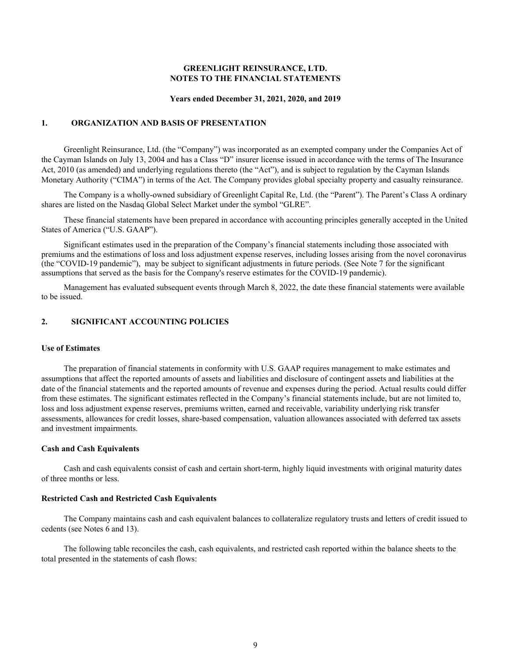## **GREENLIGHT REINSURANCE, LTD. NOTES TO THE FINANCIAL STATEMENTS**

#### **Years ended December 31, 2021, 2020, and 2019**

## <span id="page-8-0"></span>**1. ORGANIZATION AND BASIS OF PRESENTATION**

Greenlight Reinsurance, Ltd. (the "Company") was incorporated as an exempted company under the Companies Act of the Cayman Islands on July 13, 2004 and has a Class "D" insurer license issued in accordance with the terms of The Insurance Act, 2010 (as amended) and underlying regulations thereto (the "Act"), and is subject to regulation by the Cayman Islands Monetary Authority ("CIMA") in terms of the Act. The Company provides global specialty property and casualty reinsurance.

The Company is a wholly-owned subsidiary of Greenlight Capital Re, Ltd. (the "Parent"). The Parent's Class A ordinary shares are listed on the Nasdaq Global Select Market under the symbol "GLRE".

These financial statements have been prepared in accordance with accounting principles generally accepted in the United States of America ("U.S. GAAP").

Significant estimates used in the preparation of the Company's financial statements including those associated with premiums and the estimations of loss and loss adjustment expense reserves, including losses arising from the novel coronavirus (the "COVID-19 pandemic"), may be subject to significant adjustments in future periods. (See Note 7 for the significant assumptions that served as the basis for the Company's reserve estimates for the COVID-19 pandemic).

Management has evaluated subsequent events through March 8, 2022, the date these financial statements were available to be issued.

## **2. SIGNIFICANT ACCOUNTING POLICIES**

## **Use of Estimates**

The preparation of financial statements in conformity with U.S. GAAP requires management to make estimates and assumptions that affect the reported amounts of assets and liabilities and disclosure of contingent assets and liabilities at the date of the financial statements and the reported amounts of revenue and expenses during the period. Actual results could differ from these estimates. The significant estimates reflected in the Company's financial statements include, but are not limited to, loss and loss adjustment expense reserves, premiums written, earned and receivable, variability underlying risk transfer assessments, allowances for credit losses, share-based compensation, valuation allowances associated with deferred tax assets and investment impairments.

### **Cash and Cash Equivalents**

Cash and cash equivalents consist of cash and certain short-term, highly liquid investments with original maturity dates of three months or less.

### **Restricted Cash and Restricted Cash Equivalents**

The Company maintains cash and cash equivalent balances to collateralize regulatory trusts and letters of credit issued to cedents (see Notes 6 and 13).

The following table reconciles the cash, cash equivalents, and restricted cash reported within the balance sheets to the total presented in the statements of cash flows: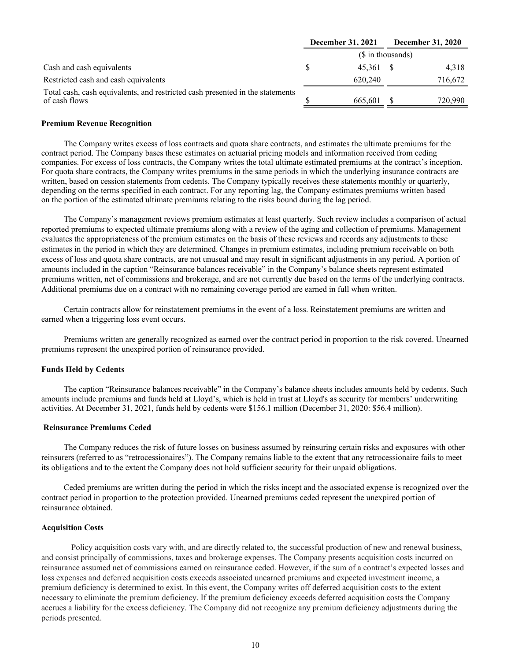|                                                                                                | <b>December 31, 2021</b> | <b>December 31, 2020</b> |         |  |
|------------------------------------------------------------------------------------------------|--------------------------|--------------------------|---------|--|
|                                                                                                |                          | (\\$ in thousands)       |         |  |
| Cash and cash equivalents                                                                      | 45.361                   |                          | 4.318   |  |
| Restricted cash and cash equivalents                                                           | 620,240                  |                          | 716.672 |  |
| Total cash, cash equivalents, and restricted cash presented in the statements<br>of cash flows | 665.601                  |                          | 720.990 |  |

## **Premium Revenue Recognition**

The Company writes excess of loss contracts and quota share contracts, and estimates the ultimate premiums for the contract period. The Company bases these estimates on actuarial pricing models and information received from ceding companies. For excess of loss contracts, the Company writes the total ultimate estimated premiums at the contract's inception. For quota share contracts, the Company writes premiums in the same periods in which the underlying insurance contracts are written, based on cession statements from cedents. The Company typically receives these statements monthly or quarterly, depending on the terms specified in each contract. For any reporting lag, the Company estimates premiums written based on the portion of the estimated ultimate premiums relating to the risks bound during the lag period.

The Company's management reviews premium estimates at least quarterly. Such review includes a comparison of actual reported premiums to expected ultimate premiums along with a review of the aging and collection of premiums. Management evaluates the appropriateness of the premium estimates on the basis of these reviews and records any adjustments to these estimates in the period in which they are determined. Changes in premium estimates, including premium receivable on both excess of loss and quota share contracts, are not unusual and may result in significant adjustments in any period. A portion of amounts included in the caption "Reinsurance balances receivable" in the Company's balance sheets represent estimated premiums written, net of commissions and brokerage, and are not currently due based on the terms of the underlying contracts. Additional premiums due on a contract with no remaining coverage period are earned in full when written.

Certain contracts allow for reinstatement premiums in the event of a loss. Reinstatement premiums are written and earned when a triggering loss event occurs.

Premiums written are generally recognized as earned over the contract period in proportion to the risk covered. Unearned premiums represent the unexpired portion of reinsurance provided.

### **Funds Held by Cedents**

The caption "Reinsurance balances receivable" in the Company's balance sheets includes amounts held by cedents. Such amounts include premiums and funds held at Lloyd's, which is held in trust at Lloyd's as security for members' underwriting activities. At December 31, 2021, funds held by cedents were \$156.1 million (December 31, 2020: \$56.4 million).

### **Reinsurance Premiums Ceded**

The Company reduces the risk of future losses on business assumed by reinsuring certain risks and exposures with other reinsurers (referred to as "retrocessionaires"). The Company remains liable to the extent that any retrocessionaire fails to meet its obligations and to the extent the Company does not hold sufficient security for their unpaid obligations.

Ceded premiums are written during the period in which the risks incept and the associated expense is recognized over the contract period in proportion to the protection provided. Unearned premiums ceded represent the unexpired portion of reinsurance obtained.

## **Acquisition Costs**

Policy acquisition costs vary with, and are directly related to, the successful production of new and renewal business, and consist principally of commissions, taxes and brokerage expenses. The Company presents acquisition costs incurred on reinsurance assumed net of commissions earned on reinsurance ceded. However, if the sum of a contract's expected losses and loss expenses and deferred acquisition costs exceeds associated unearned premiums and expected investment income, a premium deficiency is determined to exist. In this event, the Company writes off deferred acquisition costs to the extent necessary to eliminate the premium deficiency. If the premium deficiency exceeds deferred acquisition costs the Company accrues a liability for the excess deficiency. The Company did not recognize any premium deficiency adjustments during the periods presented.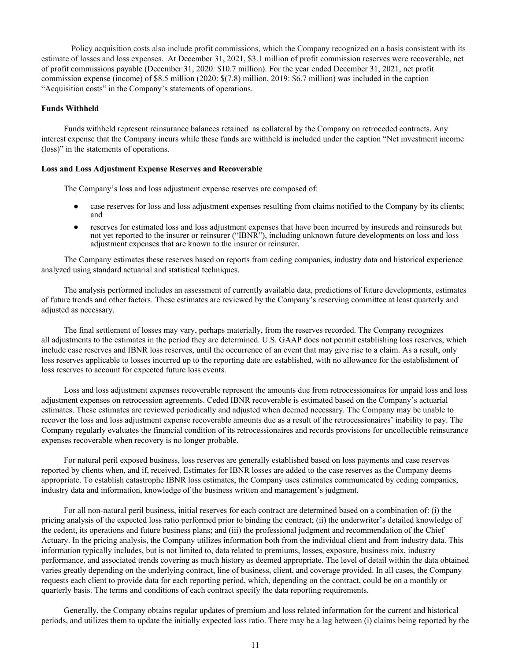Policy acquisition costs also include profit commissions, which the Company recognized on a basis consistent with its estimate of losses and loss expenses. At December 31, 2021, \$3.1 million of profit commission reserves were recoverable, net of profit commissions payable (December 31, 2020: \$10.7 million). For the year ended December 31, 2021, net profit commission expense (income) of \$8.5 million (2020: \$(7.8) million, 2019: \$6.7 million) was included in the caption "Acquisition costs" in the Company's statements of operations.

### **Funds Withheld**

Funds withheld represent reinsurance balances retained as collateral by the Company on retroceded contracts. Any interest expense that the Company incurs while these funds are withheld is included under the caption "Net investment income (loss)" in the statements of operations.

### **Loss and Loss Adjustment Expense Reserves and Recoverable**

The Company's loss and loss adjustment expense reserves are composed of:

- case reserves for loss and loss adjustment expenses resulting from claims notified to the Company by its clients; and
- reserves for estimated loss and loss adjustment expenses that have been incurred by insureds and reinsureds but not yet reported to the insurer or reinsurer ("IBNR"), including unknown future developments on loss and loss adjustment expenses that are known to the insurer or reinsurer.

The Company estimates these reserves based on reports from ceding companies, industry data and historical experience analyzed using standard actuarial and statistical techniques.

The analysis performed includes an assessment of currently available data, predictions of future developments, estimates of future trends and other factors. These estimates are reviewed by the Company's reserving committee at least quarterly and adjusted as necessary.

The final settlement of losses may vary, perhaps materially, from the reserves recorded. The Company recognizes all adjustments to the estimates in the period they are determined. U.S. GAAP does not permit establishing loss reserves, which include case reserves and IBNR loss reserves, until the occurrence of an event that may give rise to a claim. As a result, only loss reserves applicable to losses incurred up to the reporting date are established, with no allowance for the establishment of loss reserves to account for expected future loss events.

Loss and loss adjustment expenses recoverable represent the amounts due from retrocessionaires for unpaid loss and loss adjustment expenses on retrocession agreements. Ceded IBNR recoverable is estimated based on the Company's actuarial estimates. These estimates are reviewed periodically and adjusted when deemed necessary. The Company may be unable to recover the loss and loss adjustment expense recoverable amounts due as a result of the retrocessionaires' inability to pay. The Company regularly evaluates the financial condition of its retrocessionaires and records provisions for uncollectible reinsurance expenses recoverable when recovery is no longer probable.

For natural peril exposed business, loss reserves are generally established based on loss payments and case reserves reported by clients when, and if, received. Estimates for IBNR losses are added to the case reserves as the Company deems appropriate. To establish catastrophe IBNR loss estimates, the Company uses estimates communicated by ceding companies, industry data and information, knowledge of the business written and management's judgment.

For all non-natural peril business, initial reserves for each contract are determined based on a combination of: (i) the pricing analysis of the expected loss ratio performed prior to binding the contract; (ii) the underwriter's detailed knowledge of the cedent, its operations and future business plans; and (iii) the professional judgment and recommendation of the Chief Actuary. In the pricing analysis, the Company utilizes information both from the individual client and from industry data. This information typically includes, but is not limited to, data related to premiums, losses, exposure, business mix, industry performance, and associated trends covering as much history as deemed appropriate. The level of detail within the data obtained varies greatly depending on the underlying contract, line of business, client, and coverage provided. In all cases, the Company requests each client to provide data for each reporting period, which, depending on the contract, could be on a monthly or quarterly basis. The terms and conditions of each contract specify the data reporting requirements.

Generally, the Company obtains regular updates of premium and loss related information for the current and historical periods, and utilizes them to update the initially expected loss ratio. There may be a lag between (i) claims being reported by the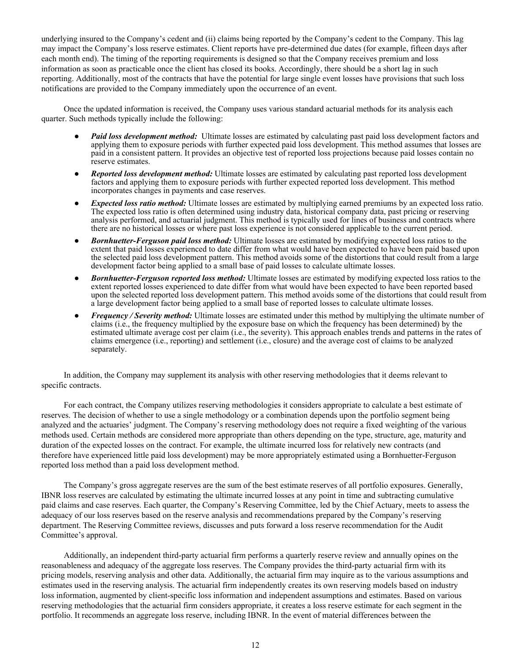underlying insured to the Company's cedent and (ii) claims being reported by the Company's cedent to the Company. This lag may impact the Company's loss reserve estimates. Client reports have pre-determined due dates (for example, fifteen days after each month end). The timing of the reporting requirements is designed so that the Company receives premium and loss information as soon as practicable once the client has closed its books. Accordingly, there should be a short lag in such reporting. Additionally, most of the contracts that have the potential for large single event losses have provisions that such loss notifications are provided to the Company immediately upon the occurrence of an event.

Once the updated information is received, the Company uses various standard actuarial methods for its analysis each quarter. Such methods typically include the following:

- *Paid loss development method:* Ultimate losses are estimated by calculating past paid loss development factors and applying them to exposure periods with further expected paid loss development. This method assumes that losses are paid in a consistent pattern. It provides an objective test of reported loss projections because paid losses contain no reserve estimates.
- *Reported loss development method:* Ultimate losses are estimated by calculating past reported loss development factors and applying them to exposure periods with further expected reported loss development. This method incorporates changes in payments and case reserves.
- **Expected loss ratio method:** Ultimate losses are estimated by multiplying earned premiums by an expected loss ratio. The expected loss ratio is often determined using industry data, historical company data, past pricing or reserving analysis performed, and actuarial judgment. This method is typically used for lines of business and contracts where there are no historical losses or where past loss experience is not considered applicable to the current period.
- *Bornhuetter-Ferguson paid loss method:* Ultimate losses are estimated by modifying expected loss ratios to the extent that paid losses experienced to date differ from what would have been expected to have been paid based upon the selected paid loss development pattern. This method avoids some of the distortions that could result from a large development factor being applied to a small base of paid losses to calculate ultimate losses.
- *Bornhuetter-Ferguson reported loss method:* Ultimate losses are estimated by modifying expected loss ratios to the extent reported losses experienced to date differ from what would have been expected to have been reported based upon the selected reported loss development pattern. This method avoids some of the distortions that could result from a large development factor being applied to a small base of reported losses to calculate ultimate losses.
- *Frequency / Severity method:* Ultimate losses are estimated under this method by multiplying the ultimate number of claims (i.e., the frequency multiplied by the exposure base on which the frequency has been determined) by the estimated ultimate average cost per claim (i.e., the severity). This approach enables trends and patterns in the rates of claims emergence (i.e., reporting) and settlement (i.e., closure) and the average cost of claims to be analyzed separately.

In addition, the Company may supplement its analysis with other reserving methodologies that it deems relevant to specific contracts.

For each contract, the Company utilizes reserving methodologies it considers appropriate to calculate a best estimate of reserves. The decision of whether to use a single methodology or a combination depends upon the portfolio segment being analyzed and the actuaries' judgment. The Company's reserving methodology does not require a fixed weighting of the various methods used. Certain methods are considered more appropriate than others depending on the type, structure, age, maturity and duration of the expected losses on the contract. For example, the ultimate incurred loss for relatively new contracts (and therefore have experienced little paid loss development) may be more appropriately estimated using a Bornhuetter-Ferguson reported loss method than a paid loss development method.

The Company's gross aggregate reserves are the sum of the best estimate reserves of all portfolio exposures. Generally, IBNR loss reserves are calculated by estimating the ultimate incurred losses at any point in time and subtracting cumulative paid claims and case reserves. Each quarter, the Company's Reserving Committee, led by the Chief Actuary, meets to assess the adequacy of our loss reserves based on the reserve analysis and recommendations prepared by the Company's reserving department. The Reserving Committee reviews, discusses and puts forward a loss reserve recommendation for the Audit Committee's approval.

Additionally, an independent third-party actuarial firm performs a quarterly reserve review and annually opines on the reasonableness and adequacy of the aggregate loss reserves. The Company provides the third-party actuarial firm with its pricing models, reserving analysis and other data. Additionally, the actuarial firm may inquire as to the various assumptions and estimates used in the reserving analysis. The actuarial firm independently creates its own reserving models based on industry loss information, augmented by client-specific loss information and independent assumptions and estimates. Based on various reserving methodologies that the actuarial firm considers appropriate, it creates a loss reserve estimate for each segment in the portfolio. It recommends an aggregate loss reserve, including IBNR. In the event of material differences between the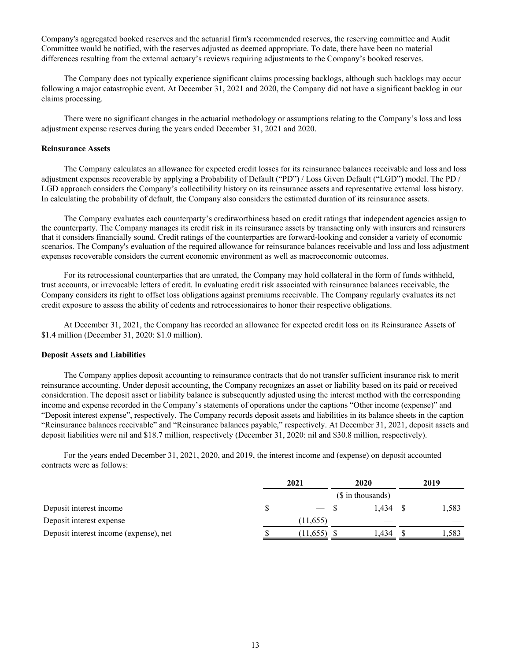Company's aggregated booked reserves and the actuarial firm's recommended reserves, the reserving committee and Audit Committee would be notified, with the reserves adjusted as deemed appropriate. To date, there have been no material differences resulting from the external actuary's reviews requiring adjustments to the Company's booked reserves.

The Company does not typically experience significant claims processing backlogs, although such backlogs may occur following a major catastrophic event. At December 31, 2021 and 2020, the Company did not have a significant backlog in our claims processing.

There were no significant changes in the actuarial methodology or assumptions relating to the Company's loss and loss adjustment expense reserves during the years ended December 31, 2021 and 2020.

### **Reinsurance Assets**

The Company calculates an allowance for expected credit losses for its reinsurance balances receivable and loss and loss adjustment expenses recoverable by applying a Probability of Default ("PD") / Loss Given Default ("LGD") model. The PD / LGD approach considers the Company's collectibility history on its reinsurance assets and representative external loss history. In calculating the probability of default, the Company also considers the estimated duration of its reinsurance assets.

The Company evaluates each counterparty's creditworthiness based on credit ratings that independent agencies assign to the counterparty. The Company manages its credit risk in its reinsurance assets by transacting only with insurers and reinsurers that it considers financially sound. Credit ratings of the counterparties are forward-looking and consider a variety of economic scenarios. The Company's evaluation of the required allowance for reinsurance balances receivable and loss and loss adjustment expenses recoverable considers the current economic environment as well as macroeconomic outcomes.

For its retrocessional counterparties that are unrated, the Company may hold collateral in the form of funds withheld, trust accounts, or irrevocable letters of credit. In evaluating credit risk associated with reinsurance balances receivable, the Company considers its right to offset loss obligations against premiums receivable. The Company regularly evaluates its net credit exposure to assess the ability of cedents and retrocessionaires to honor their respective obligations.

At December 31, 2021, the Company has recorded an allowance for expected credit loss on its Reinsurance Assets of \$1.4 million (December 31, 2020: \$1.0 million).

### **Deposit Assets and Liabilities**

The Company applies deposit accounting to reinsurance contracts that do not transfer sufficient insurance risk to merit reinsurance accounting. Under deposit accounting, the Company recognizes an asset or liability based on its paid or received consideration. The deposit asset or liability balance is subsequently adjusted using the interest method with the corresponding income and expense recorded in the Company's statements of operations under the captions "Other income (expense)" and "Deposit interest expense", respectively. The Company records deposit assets and liabilities in its balance sheets in the caption "Reinsurance balances receivable" and "Reinsurance balances payable," respectively. At December 31, 2021, deposit assets and deposit liabilities were nil and \$18.7 million, respectively (December 31, 2020: nil and \$30.8 million, respectively).

For the years ended December 31, 2021, 2020, and 2019, the interest income and (expense) on deposit accounted contracts were as follows:

|                                        | 2021 |             | 2020 |                   | 2019  |
|----------------------------------------|------|-------------|------|-------------------|-------|
|                                        |      |             |      | (\$ in thousands) |       |
| Deposit interest income                |      | $ \sqrt{ }$ |      | 1.434             | 1,583 |
| Deposit interest expense               |      | (11, 655)   |      |                   |       |
| Deposit interest income (expense), net |      | (11, 655)   |      | L.434             | 1,583 |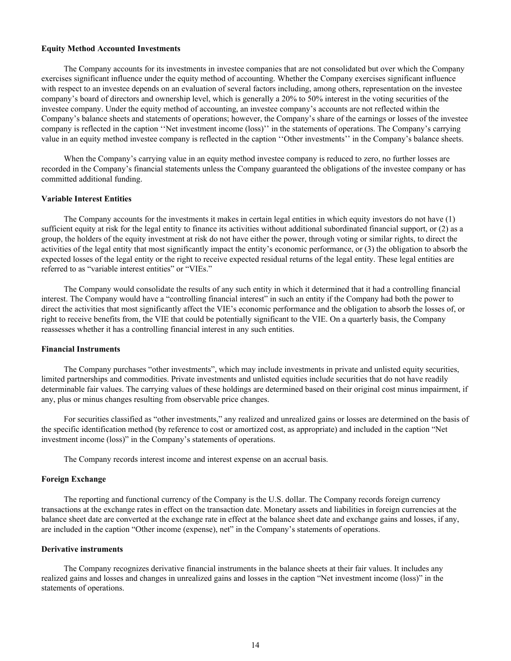### **Equity Method Accounted Investments**

The Company accounts for its investments in investee companies that are not consolidated but over which the Company exercises significant influence under the equity method of accounting. Whether the Company exercises significant influence with respect to an investee depends on an evaluation of several factors including, among others, representation on the investee company's board of directors and ownership level, which is generally a 20% to 50% interest in the voting securities of the investee company. Under the equity method of accounting, an investee company's accounts are not reflected within the Company's balance sheets and statements of operations; however, the Company's share of the earnings or losses of the investee company is reflected in the caption ''Net investment income (loss)'' in the statements of operations. The Company's carrying value in an equity method investee company is reflected in the caption ''Other investments'' in the Company's balance sheets.

When the Company's carrying value in an equity method investee company is reduced to zero, no further losses are recorded in the Company's financial statements unless the Company guaranteed the obligations of the investee company or has committed additional funding.

## **Variable Interest Entities**

The Company accounts for the investments it makes in certain legal entities in which equity investors do not have (1) sufficient equity at risk for the legal entity to finance its activities without additional subordinated financial support, or (2) as a group, the holders of the equity investment at risk do not have either the power, through voting or similar rights, to direct the activities of the legal entity that most significantly impact the entity's economic performance, or (3) the obligation to absorb the expected losses of the legal entity or the right to receive expected residual returns of the legal entity. These legal entities are referred to as "variable interest entities" or "VIEs."

The Company would consolidate the results of any such entity in which it determined that it had a controlling financial interest. The Company would have a "controlling financial interest" in such an entity if the Company had both the power to direct the activities that most significantly affect the VIE's economic performance and the obligation to absorb the losses of, or right to receive benefits from, the VIE that could be potentially significant to the VIE. On a quarterly basis, the Company reassesses whether it has a controlling financial interest in any such entities.

## **Financial Instruments**

The Company purchases "other investments", which may include investments in private and unlisted equity securities, limited partnerships and commodities. Private investments and unlisted equities include securities that do not have readily determinable fair values. The carrying values of these holdings are determined based on their original cost minus impairment, if any, plus or minus changes resulting from observable price changes.

For securities classified as "other investments," any realized and unrealized gains or losses are determined on the basis of the specific identification method (by reference to cost or amortized cost, as appropriate) and included in the caption "Net investment income (loss)" in the Company's statements of operations.

The Company records interest income and interest expense on an accrual basis.

### **Foreign Exchange**

The reporting and functional currency of the Company is the U.S. dollar. The Company records foreign currency transactions at the exchange rates in effect on the transaction date. Monetary assets and liabilities in foreign currencies at the balance sheet date are converted at the exchange rate in effect at the balance sheet date and exchange gains and losses, if any, are included in the caption "Other income (expense), net" in the Company's statements of operations.

### **Derivative instruments**

The Company recognizes derivative financial instruments in the balance sheets at their fair values. It includes any realized gains and losses and changes in unrealized gains and losses in the caption "Net investment income (loss)" in the statements of operations.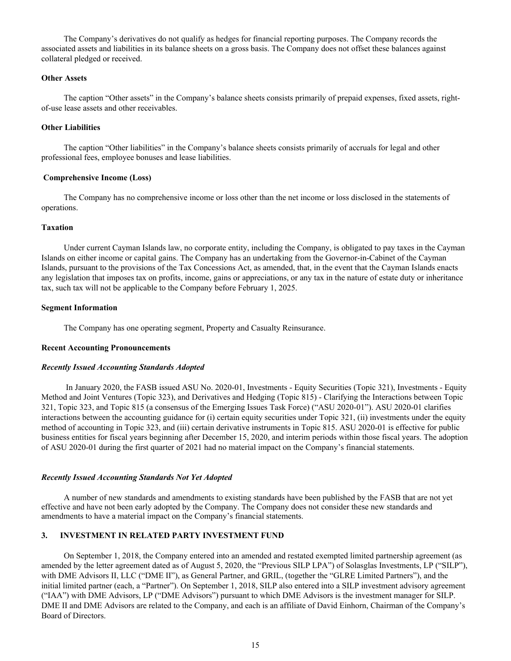The Company's derivatives do not qualify as hedges for financial reporting purposes. The Company records the associated assets and liabilities in its balance sheets on a gross basis. The Company does not offset these balances against collateral pledged or received.

## **Other Assets**

The caption "Other assets" in the Company's balance sheets consists primarily of prepaid expenses, fixed assets, rightof-use lease assets and other receivables.

### **Other Liabilities**

The caption "Other liabilities" in the Company's balance sheets consists primarily of accruals for legal and other professional fees, employee bonuses and lease liabilities.

### **Comprehensive Income (Loss)**

The Company has no comprehensive income or loss other than the net income or loss disclosed in the statements of operations.

### **Taxation**

Under current Cayman Islands law, no corporate entity, including the Company, is obligated to pay taxes in the Cayman Islands on either income or capital gains. The Company has an undertaking from the Governor-in-Cabinet of the Cayman Islands, pursuant to the provisions of the Tax Concessions Act, as amended, that, in the event that the Cayman Islands enacts any legislation that imposes tax on profits, income, gains or appreciations, or any tax in the nature of estate duty or inheritance tax, such tax will not be applicable to the Company before February 1, 2025.

## **Segment Information**

The Company has one operating segment, Property and Casualty Reinsurance.

### **Recent Accounting Pronouncements**

### *Recently Issued Accounting Standards Adopted*

 In January 2020, the FASB issued ASU No. 2020-01, Investments - Equity Securities (Topic 321), Investments - Equity Method and Joint Ventures (Topic 323), and Derivatives and Hedging (Topic 815) - Clarifying the Interactions between Topic 321, Topic 323, and Topic 815 (a consensus of the Emerging Issues Task Force) ("ASU 2020-01"). ASU 2020-01 clarifies interactions between the accounting guidance for (i) certain equity securities under Topic 321, (ii) investments under the equity method of accounting in Topic 323, and (iii) certain derivative instruments in Topic 815. ASU 2020-01 is effective for public business entities for fiscal years beginning after December 15, 2020, and interim periods within those fiscal years. The adoption of ASU 2020-01 during the first quarter of 2021 had no material impact on the Company's financial statements.

## *Recently Issued Accounting Standards Not Yet Adopted*

A number of new standards and amendments to existing standards have been published by the FASB that are not yet effective and have not been early adopted by the Company. The Company does not consider these new standards and amendments to have a material impact on the Company's financial statements.

## **3. INVESTMENT IN RELATED PARTY INVESTMENT FUND**

On September 1, 2018, the Company entered into an amended and restated exempted limited partnership agreement (as amended by the letter agreement dated as of August 5, 2020, the "Previous SILP LPA") of Solasglas Investments, LP ("SILP"), with DME Advisors II, LLC ("DME II"), as General Partner, and GRIL, (together the "GLRE Limited Partners"), and the initial limited partner (each, a "Partner"). On September 1, 2018, SILP also entered into a SILP investment advisory agreement ("IAA") with DME Advisors, LP ("DME Advisors") pursuant to which DME Advisors is the investment manager for SILP. DME II and DME Advisors are related to the Company, and each is an affiliate of David Einhorn, Chairman of the Company's Board of Directors.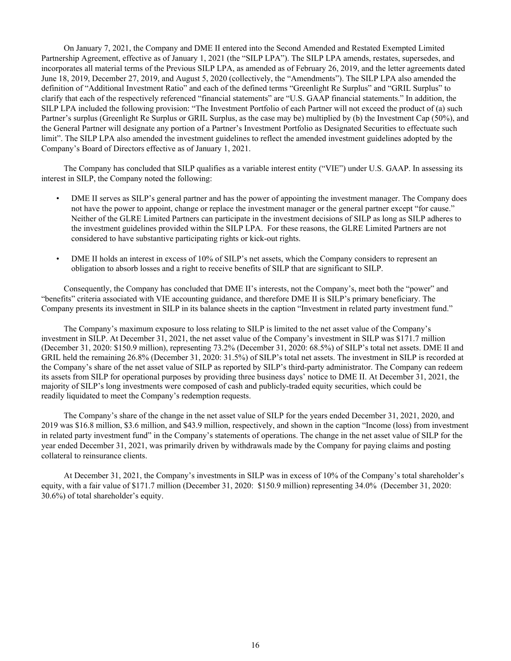On January 7, 2021, the Company and DME II entered into the Second Amended and Restated Exempted Limited Partnership Agreement, effective as of January 1, 2021 (the "SILP LPA"). The SILP LPA amends, restates, supersedes, and incorporates all material terms of the Previous SILP LPA, as amended as of February 26, 2019, and the letter agreements dated June 18, 2019, December 27, 2019, and August 5, 2020 (collectively, the "Amendments"). The SILP LPA also amended the definition of "Additional Investment Ratio" and each of the defined terms "Greenlight Re Surplus" and "GRIL Surplus" to clarify that each of the respectively referenced "financial statements" are "U.S. GAAP financial statements." In addition, the SILP LPA included the following provision: "The Investment Portfolio of each Partner will not exceed the product of (a) such Partner's surplus (Greenlight Re Surplus or GRIL Surplus, as the case may be) multiplied by (b) the Investment Cap (50%), and the General Partner will designate any portion of a Partner's Investment Portfolio as Designated Securities to effectuate such limit". The SILP LPA also amended the investment guidelines to reflect the amended investment guidelines adopted by the Company's Board of Directors effective as of January 1, 2021.

The Company has concluded that SILP qualifies as a variable interest entity ("VIE") under U.S. GAAP. In assessing its interest in SILP, the Company noted the following:

- DME II serves as SILP's general partner and has the power of appointing the investment manager. The Company does not have the power to appoint, change or replace the investment manager or the general partner except "for cause." Neither of the GLRE Limited Partners can participate in the investment decisions of SILP as long as SILP adheres to the investment guidelines provided within the SILP LPA. For these reasons, the GLRE Limited Partners are not considered to have substantive participating rights or kick-out rights.
- DME II holds an interest in excess of 10% of SILP's net assets, which the Company considers to represent an obligation to absorb losses and a right to receive benefits of SILP that are significant to SILP.

Consequently, the Company has concluded that DME II's interests, not the Company's, meet both the "power" and "benefits" criteria associated with VIE accounting guidance, and therefore DME II is SILP's primary beneficiary. The Company presents its investment in SILP in its balance sheets in the caption "Investment in related party investment fund."

The Company's maximum exposure to loss relating to SILP is limited to the net asset value of the Company's investment in SILP. At December 31, 2021, the net asset value of the Company's investment in SILP was \$171.7 million (December 31, 2020: \$150.9 million), representing 73.2% (December 31, 2020: 68.5%) of SILP's total net assets. DME II and GRIL held the remaining 26.8% (December 31, 2020: 31.5%) of SILP's total net assets. The investment in SILP is recorded at the Company's share of the net asset value of SILP as reported by SILP's third-party administrator. The Company can redeem its assets from SILP for operational purposes by providing three business days' notice to DME II. At December 31, 2021, the majority of SILP's long investments were composed of cash and publicly-traded equity securities, which could be readily liquidated to meet the Company's redemption requests.

The Company's share of the change in the net asset value of SILP for the years ended December 31, 2021, 2020, and 2019 was \$16.8 million, \$3.6 million, and \$43.9 million, respectively, and shown in the caption "Income (loss) from investment in related party investment fund" in the Company's statements of operations. The change in the net asset value of SILP for the year ended December 31, 2021, was primarily driven by withdrawals made by the Company for paying claims and posting collateral to reinsurance clients.

At December 31, 2021, the Company's investments in SILP was in excess of 10% of the Company's total shareholder's equity, with a fair value of \$171.7 million (December 31, 2020: \$150.9 million) representing 34.0% (December 31, 2020: 30.6%) of total shareholder's equity.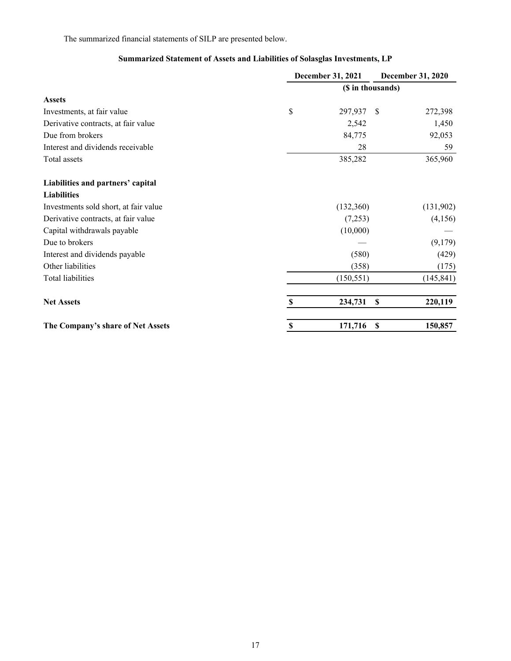# The summarized financial statements of SILP are presented below.

# **Summarized Statement of Assets and Liabilities of Solasglas Investments, LP**

|                                       | <b>December 31, 2021</b> |          | <b>December 31, 2020</b> |
|---------------------------------------|--------------------------|----------|--------------------------|
|                                       | (\$ in thousands)        |          |                          |
| <b>Assets</b>                         |                          |          |                          |
| Investments, at fair value            | \$<br>297,937            | \$       | 272,398                  |
| Derivative contracts, at fair value   | 2,542                    |          | 1,450                    |
| Due from brokers                      | 84,775                   |          | 92,053                   |
| Interest and dividends receivable     | 28                       |          | 59                       |
| Total assets                          | 385,282                  |          | 365,960                  |
| Liabilities and partners' capital     |                          |          |                          |
| <b>Liabilities</b>                    |                          |          |                          |
| Investments sold short, at fair value | (132,360)                |          | (131,902)                |
| Derivative contracts, at fair value   | (7,253)                  |          | (4,156)                  |
| Capital withdrawals payable           | (10,000)                 |          |                          |
| Due to brokers                        |                          |          | (9,179)                  |
| Interest and dividends payable        | (580)                    |          | (429)                    |
| Other liabilities                     | (358)                    |          | (175)                    |
| <b>Total liabilities</b>              | (150, 551)               |          | (145, 841)               |
| <b>Net Assets</b>                     | \$<br>234,731            | <b>S</b> | 220,119                  |
| The Company's share of Net Assets     | \$<br>171,716            | \$       | 150,857                  |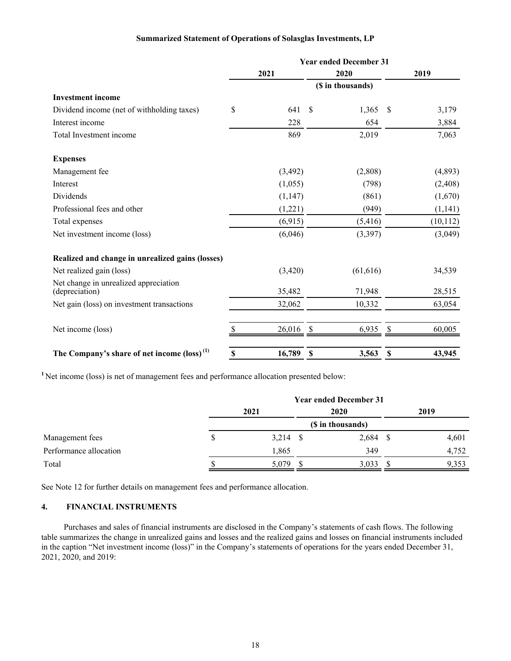## **Summarized Statement of Operations of Solasglas Investments, LP**

|                                                         |    | 2021    |               | 2020              |                           | 2019      |
|---------------------------------------------------------|----|---------|---------------|-------------------|---------------------------|-----------|
|                                                         |    |         |               | (\$ in thousands) |                           |           |
| <b>Investment</b> income                                |    |         |               |                   |                           |           |
| Dividend income (net of withholding taxes)              | \$ | 641     | $\mathcal{S}$ | 1,365             | -S                        | 3,179     |
| Interest income                                         |    | 228     |               | 654               |                           | 3,884     |
| Total Investment income                                 |    | 869     |               | 2,019             |                           | 7,063     |
| <b>Expenses</b>                                         |    |         |               |                   |                           |           |
| Management fee                                          |    | (3,492) |               | (2,808)           |                           | (4,893)   |
| Interest                                                |    | (1,055) |               | (798)             |                           | (2,408)   |
| Dividends                                               |    | (1,147) |               | (861)             |                           | (1,670)   |
| Professional fees and other                             |    | (1,221) |               | (949)             |                           | (1,141)   |
| Total expenses                                          |    | (6,915) |               | (5,416)           |                           | (10, 112) |
| Net investment income (loss)                            |    | (6,046) |               | (3,397)           |                           | (3,049)   |
| Realized and change in unrealized gains (losses)        |    |         |               |                   |                           |           |
| Net realized gain (loss)                                |    | (3,420) |               | (61, 616)         |                           | 34,539    |
| Net change in unrealized appreciation<br>(depreciation) |    | 35,482  |               | 71,948            |                           | 28,515    |
| Net gain (loss) on investment transactions              |    | 32,062  |               | 10,332            |                           | 63,054    |
| Net income (loss)                                       |    | 26,016  | -S            | 6,935             | -S                        | 60,005    |
| The Company's share of net income $(loss)^{(1)}$        | \$ | 16,789  | \$            | 3,563             | $\boldsymbol{\mathsf{S}}$ | 43,945    |

<sup>1</sup>Net income (loss) is net of management fees and performance allocation presented below:

|                        |   | <b>Year ended December 31</b> |     |                   |      |       |  |  |  |  |
|------------------------|---|-------------------------------|-----|-------------------|------|-------|--|--|--|--|
|                        |   | 2021                          |     | 2020              |      | 2019  |  |  |  |  |
|                        |   |                               |     | (\$ in thousands) |      |       |  |  |  |  |
| Management fees        | S | 3,214                         | -SI | 2,684             | - \$ | 4,601 |  |  |  |  |
| Performance allocation |   | 1,865                         |     | 349               |      | 4,752 |  |  |  |  |
| Total                  |   | 5,079                         |     | 3,033             |      | 9,353 |  |  |  |  |

See Note 12 for further details on management fees and performance allocation.

# **4. FINANCIAL INSTRUMENTS**

Purchases and sales of financial instruments are disclosed in the Company's statements of cash flows. The following table summarizes the change in unrealized gains and losses and the realized gains and losses on financial instruments included in the caption "Net investment income (loss)" in the Company's statements of operations for the years ended December 31, 2021, 2020, and 2019: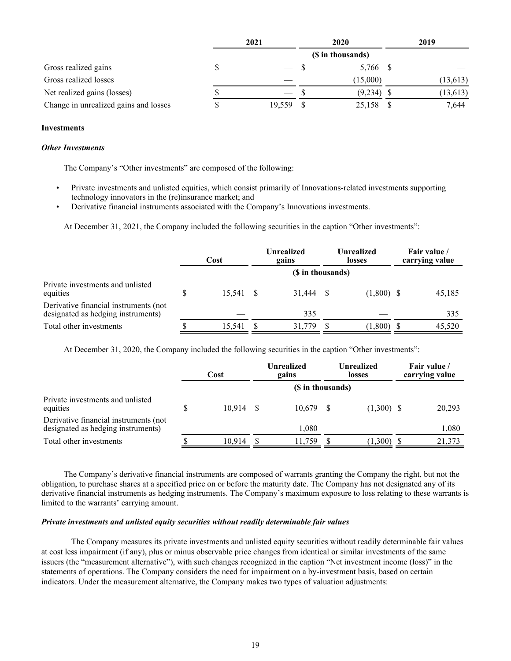|                                       | 2021 |                                 | 2020              |     | 2019      |
|---------------------------------------|------|---------------------------------|-------------------|-----|-----------|
|                                       |      |                                 | (\$ in thousands) |     |           |
| Gross realized gains                  |      | $\overbrace{\hspace{25mm}}^{ }$ | 5,766             | - 8 |           |
| Gross realized losses                 |      |                                 | (15,000)          |     | (13, 613) |
| Net realized gains (losses)           |      | $\hspace{0.05cm}$               | $(9,234)$ \$      |     | (13, 613) |
| Change in unrealized gains and losses |      | 19,559                          | 25,158            |     | 7,644     |

## **Investments**

## *Other Investments*

The Company's "Other investments" are composed of the following:

- Private investments and unlisted equities, which consist primarily of Innovations-related investments supporting technology innovators in the (re)insurance market; and
- Derivative financial instruments associated with the Company's Innovations investments.

At December 31, 2021, the Company included the following securities in the caption "Other investments":

|                                                                             | Cost      | <b>Unrealized</b><br>gains | <b>Unrealized</b><br><b>losses</b> |  | Fair value /<br>carrying value |
|-----------------------------------------------------------------------------|-----------|----------------------------|------------------------------------|--|--------------------------------|
|                                                                             |           | (\$ in thousands)          |                                    |  |                                |
| Private investments and unlisted<br>equities                                | 15.541 \$ | 31.444                     | $(1,800)$ \$                       |  | 45,185                         |
| Derivative financial instruments (not<br>designated as hedging instruments) |           | 335                        |                                    |  | 335                            |
| Total other investments                                                     | 15.541    | 31,779                     | (1,800)                            |  | 45,520                         |

At December 31, 2020, the Company included the following securities in the caption "Other investments":

|                                                                             | Cost        | <b>Unrealized</b><br>gains | <b>Unrealized</b><br>losses | Fair value /<br>carrying value |
|-----------------------------------------------------------------------------|-------------|----------------------------|-----------------------------|--------------------------------|
|                                                                             |             | (\$ in thousands)          |                             |                                |
| Private investments and unlisted<br>equities                                | $10.914$ \$ | 10.679                     | $(1,300)$ \$                | 20,293                         |
| Derivative financial instruments (not<br>designated as hedging instruments) |             | 1.080                      |                             | 1.080                          |
| Total other investments                                                     | 10.914      | 11,759                     | (1,300)                     | 21,373                         |

The Company's derivative financial instruments are composed of warrants granting the Company the right, but not the obligation, to purchase shares at a specified price on or before the maturity date. The Company has not designated any of its derivative financial instruments as hedging instruments. The Company's maximum exposure to loss relating to these warrants is limited to the warrants' carrying amount.

## *Private investments and unlisted equity securities without readily determinable fair values*

The Company measures its private investments and unlisted equity securities without readily determinable fair values at cost less impairment (if any), plus or minus observable price changes from identical or similar investments of the same issuers (the "measurement alternative"), with such changes recognized in the caption "Net investment income (loss)" in the statements of operations. The Company considers the need for impairment on a by-investment basis, based on certain indicators. Under the measurement alternative, the Company makes two types of valuation adjustments: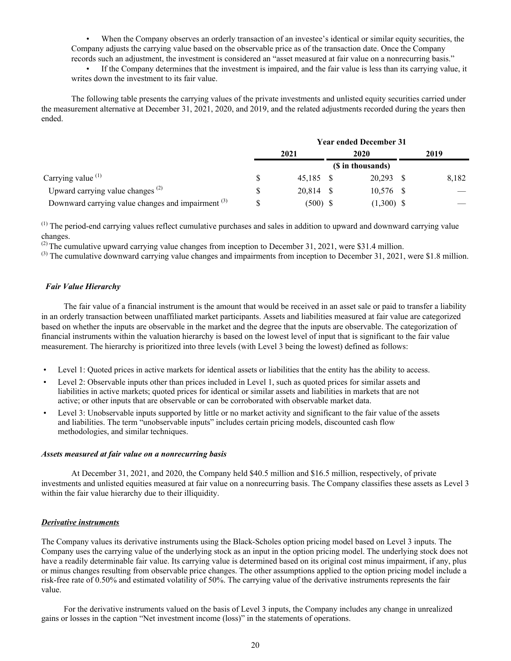When the Company observes an orderly transaction of an investee's identical or similar equity securities, the Company adjusts the carrying value based on the observable price as of the transaction date. Once the Company records such an adjustment, the investment is considered an "asset measured at fair value on a nonrecurring basis."

• If the Company determines that the investment is impaired, and the fair value is less than its carrying value, it writes down the investment to its fair value.

The following table presents the carrying values of the private investments and unlisted equity securities carried under the measurement alternative at December 31, 2021, 2020, and 2019, and the related adjustments recorded during the years then ended.

|                                                               |            | <b>Year ended December 31</b> |       |
|---------------------------------------------------------------|------------|-------------------------------|-------|
|                                                               | 2021       | 2020                          | 2019  |
|                                                               |            | (\$ in thousands)             |       |
| Carrying value $(1)$                                          | 45,185     | 20,293                        | 8,182 |
| Upward carrying value changes $(2)$                           | 20.814     | 10.576                        |       |
| Downward carrying value changes and impairment <sup>(3)</sup> | $(500)$ \$ | $(1,300)$ \$                  |       |

 $<sup>(1)</sup>$  The period-end carrying values reflect cumulative purchases and sales in addition to upward and downward carrying value</sup> changes.

<sup>(2)</sup> The cumulative upward carrying value changes from inception to December 31, 2021, were \$31.4 million.

 $^{(3)}$  The cumulative downward carrying value changes and impairments from inception to December 31, 2021, were \$1.8 million.

### *Fair Value Hierarchy*

The fair value of a financial instrument is the amount that would be received in an asset sale or paid to transfer a liability in an orderly transaction between unaffiliated market participants. Assets and liabilities measured at fair value are categorized based on whether the inputs are observable in the market and the degree that the inputs are observable. The categorization of financial instruments within the valuation hierarchy is based on the lowest level of input that is significant to the fair value measurement. The hierarchy is prioritized into three levels (with Level 3 being the lowest) defined as follows:

- Level 1: Quoted prices in active markets for identical assets or liabilities that the entity has the ability to access.
- Level 2: Observable inputs other than prices included in Level 1, such as quoted prices for similar assets and liabilities in active markets; quoted prices for identical or similar assets and liabilities in markets that are not active; or other inputs that are observable or can be corroborated with observable market data.
- Level 3: Unobservable inputs supported by little or no market activity and significant to the fair value of the assets and liabilities. The term "unobservable inputs" includes certain pricing models, discounted cash flow methodologies, and similar techniques.

## *Assets measured at fair value on a nonrecurring basis*

At December 31, 2021, and 2020, the Company held \$40.5 million and \$16.5 million, respectively, of private investments and unlisted equities measured at fair value on a nonrecurring basis. The Company classifies these assets as Level 3 within the fair value hierarchy due to their illiquidity.

# *Derivative instruments*

The Company values its derivative instruments using the Black-Scholes option pricing model based on Level 3 inputs. The Company uses the carrying value of the underlying stock as an input in the option pricing model. The underlying stock does not have a readily determinable fair value. Its carrying value is determined based on its original cost minus impairment, if any, plus or minus changes resulting from observable price changes. The other assumptions applied to the option pricing model include a risk-free rate of 0.50% and estimated volatility of 50%. The carrying value of the derivative instruments represents the fair value.

For the derivative instruments valued on the basis of Level 3 inputs, the Company includes any change in unrealized gains or losses in the caption "Net investment income (loss)" in the statements of operations.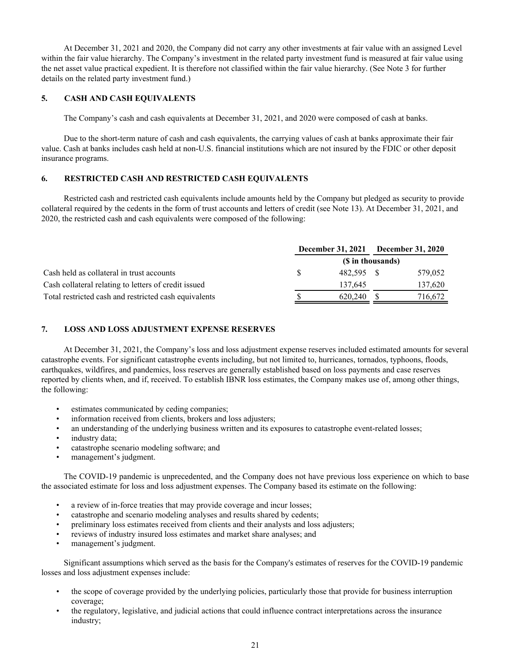At December 31, 2021 and 2020, the Company did not carry any other investments at fair value with an assigned Level within the fair value hierarchy. The Company's investment in the related party investment fund is measured at fair value using the net asset value practical expedient. It is therefore not classified within the fair value hierarchy. (See Note 3 for further details on the related party investment fund.)

# **5. CASH AND CASH EQUIVALENTS**

The Company's cash and cash equivalents at December 31, 2021, and 2020 were composed of cash at banks.

Due to the short-term nature of cash and cash equivalents, the carrying values of cash at banks approximate their fair value. Cash at banks includes cash held at non-U.S. financial institutions which are not insured by the FDIC or other deposit insurance programs.

# **6. RESTRICTED CASH AND RESTRICTED CASH EQUIVALENTS**

Restricted cash and restricted cash equivalents include amounts held by the Company but pledged as security to provide collateral required by the cedents in the form of trust accounts and letters of credit (see Note 13). At December 31, 2021, and 2020, the restricted cash and cash equivalents were composed of the following:

|                                                       | <b>December 31, 2021</b> | <b>December 31, 2020</b> |
|-------------------------------------------------------|--------------------------|--------------------------|
|                                                       | (\$ in thousands)        |                          |
| Cash held as collateral in trust accounts             | 482.595 \$               | 579,052                  |
| Cash collateral relating to letters of credit issued  | 137.645                  | 137,620                  |
| Total restricted cash and restricted cash equivalents | 620.240                  | 716,672                  |

# **7. LOSS AND LOSS ADJUSTMENT EXPENSE RESERVES**

At December 31, 2021, the Company's loss and loss adjustment expense reserves included estimated amounts for several catastrophe events. For significant catastrophe events including, but not limited to, hurricanes, tornados, typhoons, floods, earthquakes, wildfires, and pandemics, loss reserves are generally established based on loss payments and case reserves reported by clients when, and if, received. To establish IBNR loss estimates, the Company makes use of, among other things, the following:

- estimates communicated by ceding companies;
- information received from clients, brokers and loss adjusters;
- an understanding of the underlying business written and its exposures to catastrophe event-related losses;
- industry data:
- catastrophe scenario modeling software; and
- management's judgment.

The COVID-19 pandemic is unprecedented, and the Company does not have previous loss experience on which to base the associated estimate for loss and loss adjustment expenses. The Company based its estimate on the following:

- a review of in-force treaties that may provide coverage and incur losses;
- catastrophe and scenario modeling analyses and results shared by cedents;
- preliminary loss estimates received from clients and their analysts and loss adjusters;
- reviews of industry insured loss estimates and market share analyses; and
- management's judgment.

Significant assumptions which served as the basis for the Company's estimates of reserves for the COVID-19 pandemic losses and loss adjustment expenses include:

- the scope of coverage provided by the underlying policies, particularly those that provide for business interruption coverage;
- the regulatory, legislative, and judicial actions that could influence contract interpretations across the insurance industry;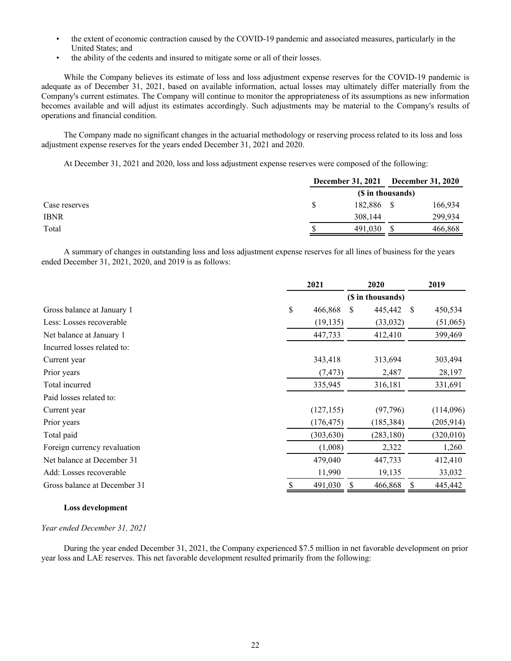- the extent of economic contraction caused by the COVID-19 pandemic and associated measures, particularly in the United States; and
- the ability of the cedents and insured to mitigate some or all of their losses.

While the Company believes its estimate of loss and loss adjustment expense reserves for the COVID-19 pandemic is adequate as of December 31, 2021, based on available information, actual losses may ultimately differ materially from the Company's current estimates. The Company will continue to monitor the appropriateness of its assumptions as new information becomes available and will adjust its estimates accordingly. Such adjustments may be material to the Company's results of operations and financial condition.

The Company made no significant changes in the actuarial methodology or reserving process related to its loss and loss adjustment expense reserves for the years ended December 31, 2021 and 2020.

At December 31, 2021 and 2020, loss and loss adjustment expense reserves were composed of the following:

|               |  | <b>December 31, 2021</b> | <b>December 31, 2020</b> |
|---------------|--|--------------------------|--------------------------|
|               |  | (\$ in thousands)        |                          |
| Case reserves |  | 182.886 \$               | 166,934                  |
| <b>IBNR</b>   |  | 308.144                  | 299.934                  |
| Total         |  | 491.030                  | 466,868                  |

A summary of changes in outstanding loss and loss adjustment expense reserves for all lines of business for the years ended December 31, 2021, 2020, and 2019 is as follows:

|                              | 2021          | 2020              | 2019                    |
|------------------------------|---------------|-------------------|-------------------------|
|                              |               | (\$ in thousands) |                         |
| Gross balance at January 1   | \$<br>466,868 | 445,442<br>\$.    | 450,534<br><sup>S</sup> |
| Less: Losses recoverable     | (19, 135)     | (33,032)          | (51,065)                |
| Net balance at January 1     | 447,733       | 412,410           | 399,469                 |
| Incurred losses related to:  |               |                   |                         |
| Current year                 | 343,418       | 313,694           | 303,494                 |
| Prior years                  | (7, 473)      | 2,487             | 28,197                  |
| Total incurred               | 335,945       | 316,181           | 331,691                 |
| Paid losses related to:      |               |                   |                         |
| Current year                 | (127, 155)    | (97,796)          | (114,096)               |
| Prior years                  | (176, 475)    | (185, 384)        | (205, 914)              |
| Total paid                   | (303, 630)    | (283, 180)        | (320, 010)              |
| Foreign currency revaluation | (1,008)       | 2,322             | 1,260                   |
| Net balance at December 31   | 479,040       | 447,733           | 412,410                 |
| Add: Losses recoverable      | 11,990        | 19,135            | 33,032                  |
| Gross balance at December 31 | 491,030       | 466,868           | 445,442                 |

## **Loss development**

# *Year ended December 31, 2021*

During the year ended December 31, 2021, the Company experienced \$7.5 million in net favorable development on prior year loss and LAE reserves. This net favorable development resulted primarily from the following: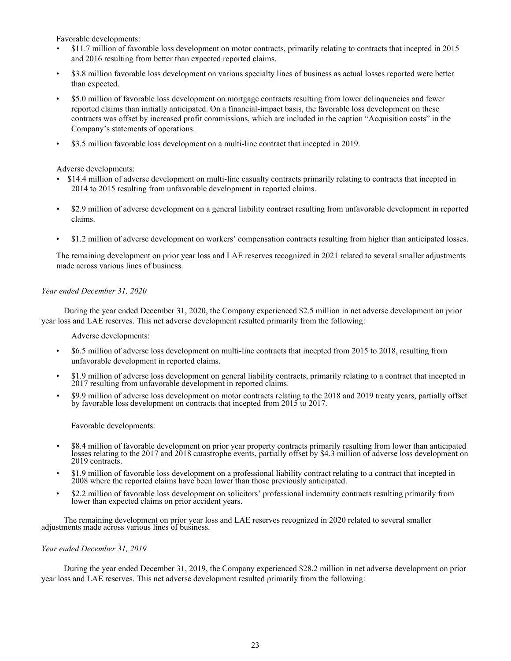Favorable developments:

- \$11.7 million of favorable loss development on motor contracts, primarily relating to contracts that incepted in 2015 and 2016 resulting from better than expected reported claims.
- \$3.8 million favorable loss development on various specialty lines of business as actual losses reported were better than expected.
- \$5.0 million of favorable loss development on mortgage contracts resulting from lower delinquencies and fewer reported claims than initially anticipated. On a financial-impact basis, the favorable loss development on these contracts was offset by increased profit commissions, which are included in the caption "Acquisition costs" in the Company's statements of operations.
- \$3.5 million favorable loss development on a multi-line contract that incepted in 2019.

Adverse developments:

- \$14.4 million of adverse development on multi-line casualty contracts primarily relating to contracts that incepted in 2014 to 2015 resulting from unfavorable development in reported claims.
- *•* \$2.9 million of adverse development on a general liability contract resulting from unfavorable development in reported claims.
- \$1.2 million of adverse development on workers' compensation contracts resulting from higher than anticipated losses.

The remaining development on prior year loss and LAE reserves recognized in 2021 related to several smaller adjustments made across various lines of business.

## *Year ended December 31, 2020*

During the year ended December 31, 2020, the Company experienced \$2.5 million in net adverse development on prior year loss and LAE reserves. This net adverse development resulted primarily from the following:

Adverse developments:

- \$6.5 million of adverse loss development on multi-line contracts that incepted from 2015 to 2018, resulting from unfavorable development in reported claims.
- \$1.9 million of adverse loss development on general liability contracts, primarily relating to a contract that incepted in 2017 resulting from unfavorable development in reported claims.
- *•* \$9.9 million of adverse loss development on motor contracts relating to the 2018 and 2019 treaty years, partially offset by favorable loss development on contracts that incepted from 2015 to 2017.

Favorable developments:

- *•* \$8.4 million of favorable development on prior year property contracts primarily resulting from lower than anticipated losses relating to the 2017 and 2018 catastrophe events, partially offset by \$4.3 million of adverse loss development on 2019 contracts.
- \$1.9 million of favorable loss development on a professional liability contract relating to a contract that incepted in 2008 where the reported claims have been lower than those previously anticipated.
- \$2.2 million of favorable loss development on solicitors' professional indemnity contracts resulting primarily from lower than expected claims on prior accident years.

The remaining development on prior year loss and LAE reserves recognized in 2020 related to several smaller adjustments made across various lines of business.

## *Year ended December 31, 2019*

During the year ended December 31, 2019, the Company experienced \$28.2 million in net adverse development on prior year loss and LAE reserves. This net adverse development resulted primarily from the following: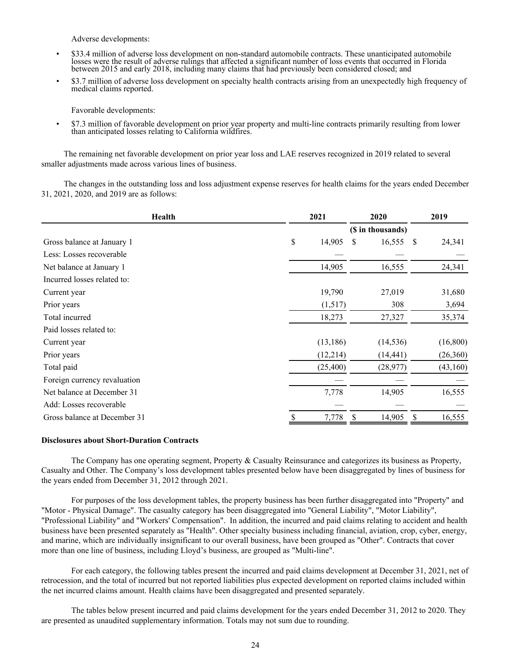Adverse developments:

- \$33.4 million of adverse loss development on non-standard automobile contracts. These unanticipated automobile losses were the result of adverse rulings that affected a significant number of loss events that occurred in Florida between 2015 and early 2018, including many claims that had previously been considered closed; and
- \$3.7 million of adverse loss development on specialty health contracts arising from an unexpectedly high frequency of medical claims reported.

Favorable developments:

• \$7.3 million of favorable development on prior year property and multi-line contracts primarily resulting from lower than anticipated losses relating to California wildfires.

The remaining net favorable development on prior year loss and LAE reserves recognized in 2019 related to several smaller adjustments made across various lines of business.

The changes in the outstanding loss and loss adjustment expense reserves for health claims for the years ended December 31, 2021, 2020, and 2019 are as follows:

| Health                       | 2021         | 2020              | 2019         |
|------------------------------|--------------|-------------------|--------------|
|                              |              | (\$ in thousands) |              |
| Gross balance at January 1   | \$<br>14,905 | 16,555<br>\$.     | 24,341<br>S  |
| Less: Losses recoverable     |              |                   |              |
| Net balance at January 1     | 14,905       | 16,555            | 24,341       |
| Incurred losses related to:  |              |                   |              |
| Current year                 | 19,790       | 27,019            | 31,680       |
| Prior years                  | (1,517)      | 308               | 3,694        |
| Total incurred               | 18,273       | 27,327            | 35,374       |
| Paid losses related to:      |              |                   |              |
| Current year                 | (13, 186)    | (14, 536)         | (16,800)     |
| Prior years                  | (12,214)     | (14, 441)         | (26,360)     |
| Total paid                   | (25, 400)    | (28, 977)         | (43,160)     |
| Foreign currency revaluation |              |                   |              |
| Net balance at December 31   | 7,778        | 14,905            | 16,555       |
| Add: Losses recoverable      |              |                   |              |
| Gross balance at December 31 | 7,778        | 14,905            | 16,555<br>S. |

### **Disclosures about Short-Duration Contracts**

The Company has one operating segment, Property & Casualty Reinsurance and categorizes its business as Property, Casualty and Other. The Company's loss development tables presented below have been disaggregated by lines of business for the years ended from December 31, 2012 through 2021.

For purposes of the loss development tables, the property business has been further disaggregated into "Property" and "Motor - Physical Damage". The casualty category has been disaggregated into "General Liability", "Motor Liability", "Professional Liability" and "Workers' Compensation". In addition, the incurred and paid claims relating to accident and health business have been presented separately as "Health". Other specialty business including financial, aviation, crop, cyber, energy, and marine, which are individually insignificant to our overall business, have been grouped as "Other". Contracts that cover more than one line of business, including Lloyd's business, are grouped as "Multi-line".

For each category, the following tables present the incurred and paid claims development at December 31, 2021, net of retrocession, and the total of incurred but not reported liabilities plus expected development on reported claims included within the net incurred claims amount. Health claims have been disaggregated and presented separately.

The tables below present incurred and paid claims development for the years ended December 31, 2012 to 2020. They are presented as unaudited supplementary information. Totals may not sum due to rounding.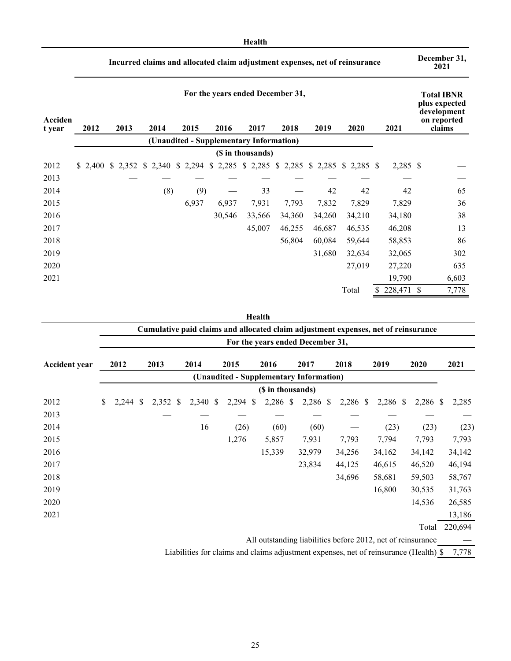|                      |      |                                  |            |  |          |  |                                                                                     |  |                   | Health |                   |                  |        |                                         |    |                                                                  |               |                  |                   |        |               |
|----------------------|------|----------------------------------|------------|--|----------|--|-------------------------------------------------------------------------------------|--|-------------------|--------|-------------------|------------------|--------|-----------------------------------------|----|------------------------------------------------------------------|---------------|------------------|-------------------|--------|---------------|
|                      |      |                                  |            |  |          |  | Incurred claims and allocated claim adjustment expenses, net of reinsurance         |  |                   |        |                   |                  |        |                                         |    |                                                                  |               |                  | December 31,      | 2021   |               |
| Acciden              |      | For the years ended December 31, |            |  |          |  |                                                                                     |  |                   |        |                   |                  |        |                                         |    | <b>Total IBNR</b><br>plus expected<br>development<br>on reported |               |                  |                   |        |               |
| t year               | 2012 |                                  | 2013       |  | 2014     |  | 2015<br>(Unaudited - Supplementary Information)                                     |  | 2016              | 2017   |                   | 2018             |        | 2019                                    |    | 2020                                                             | 2021          |                  |                   | claims |               |
|                      |      |                                  |            |  |          |  |                                                                                     |  | (\$ in thousands) |        |                   |                  |        |                                         |    |                                                                  |               |                  |                   |        |               |
| 2012                 |      |                                  |            |  |          |  | \$ 2,400 \$ 2,352 \$ 2,340 \$ 2,294 \$ 2,285 \$ 2,285 \$ 2,285 \$ 2,285 \$ 2,285 \$ |  |                   |        |                   |                  |        |                                         |    |                                                                  |               | 2,285 \$         |                   |        |               |
| 2013                 |      |                                  |            |  |          |  |                                                                                     |  |                   |        |                   |                  |        |                                         |    |                                                                  |               |                  |                   |        |               |
| 2014                 |      |                                  |            |  | (8)      |  | (9)                                                                                 |  |                   |        | 33                |                  |        |                                         | 42 | 42                                                               |               | 42               |                   |        | 65            |
| 2015                 |      |                                  |            |  |          |  | 6,937                                                                               |  | 6,937             |        | 7,931             | 7,793            |        | 7,832                                   |    | 7,829                                                            |               | 7,829            |                   |        | 36            |
| 2016<br>2017         |      |                                  |            |  |          |  |                                                                                     |  | 30,546            |        | 33,566<br>45,007  | 34,360           |        | 34,260<br>46,687                        |    | 34,210<br>46,535                                                 |               | 34,180           |                   |        | 38            |
| 2018                 |      |                                  |            |  |          |  |                                                                                     |  |                   |        |                   | 46,255<br>56,804 |        | 60,084                                  |    | 59,644                                                           |               | 46,208<br>58,853 |                   |        | 13<br>86      |
| 2019                 |      |                                  |            |  |          |  |                                                                                     |  |                   |        |                   |                  |        | 31,680                                  |    | 32,634                                                           |               | 32,065           |                   |        | 302           |
| 2020                 |      |                                  |            |  |          |  |                                                                                     |  |                   |        |                   |                  |        |                                         |    | 27,019                                                           |               | 27,220           |                   |        | 635           |
| 2021                 |      |                                  |            |  |          |  |                                                                                     |  |                   |        |                   |                  |        |                                         |    |                                                                  |               | 19,790           |                   |        | 6,603         |
|                      |      |                                  |            |  |          |  |                                                                                     |  |                   |        |                   |                  |        |                                         |    | Total                                                            | $$228,471$ \$ |                  |                   |        | 7,778         |
|                      |      |                                  |            |  |          |  |                                                                                     |  |                   | Health |                   |                  |        |                                         |    |                                                                  |               |                  |                   |        |               |
|                      |      |                                  |            |  |          |  | Cumulative paid claims and allocated claim adjustment expenses, net of reinsurance  |  |                   |        |                   |                  |        |                                         |    |                                                                  |               |                  |                   |        |               |
|                      |      |                                  |            |  |          |  |                                                                                     |  |                   |        |                   |                  |        | For the years ended December 31,        |    |                                                                  |               |                  |                   |        |               |
| <b>Accident year</b> |      |                                  | 2012       |  | 2013     |  | 2014                                                                                |  | 2015              |        | 2016              |                  | 2017   |                                         |    | 2018                                                             | 2019          |                  | 2020              |        | 2021          |
|                      |      |                                  |            |  |          |  |                                                                                     |  |                   |        |                   |                  |        | (Unaudited - Supplementary Information) |    |                                                                  |               |                  |                   |        |               |
|                      |      |                                  |            |  |          |  |                                                                                     |  |                   |        | (\$ in thousands) |                  |        |                                         |    |                                                                  |               |                  |                   |        |               |
| 2012                 |      | \$                               | $2,244$ \$ |  | 2,352 \$ |  |                                                                                     |  |                   |        |                   |                  |        |                                         |    | 2,340 \$ 2,294 \$ 2,286 \$ 2,286 \$ 2,286 \$                     |               |                  | 2,286 \$ 2,286 \$ |        | 2,285         |
| 2013<br>2014         |      |                                  |            |  |          |  | 16                                                                                  |  |                   |        |                   | (60)             |        | (60)                                    |    |                                                                  |               |                  |                   |        |               |
| 2015                 |      |                                  |            |  |          |  |                                                                                     |  | 1,276             | (26)   | 5,857             |                  |        | 7,931                                   |    | 7,793                                                            | (23)<br>7,794 |                  | (23)<br>7,793     |        | (23)<br>7,793 |
| 2016                 |      |                                  |            |  |          |  |                                                                                     |  |                   |        | 15,339            |                  | 32,979 |                                         |    | 34,256                                                           | 34,162        |                  | 34,142            |        | 34,142        |
| 2017                 |      |                                  |            |  |          |  |                                                                                     |  |                   |        |                   |                  | 23,834 |                                         |    | 44,125                                                           | 46,615        |                  | 46,520            |        | 46,194        |
| 2018                 |      |                                  |            |  |          |  |                                                                                     |  |                   |        |                   |                  |        |                                         |    | 34,696                                                           | 58,681        |                  | 59,503            |        | 58,767        |
| 2019                 |      |                                  |            |  |          |  |                                                                                     |  |                   |        |                   |                  |        |                                         |    |                                                                  | 16,800        |                  | 30,535            |        | 31,763        |
| 2020                 |      |                                  |            |  |          |  |                                                                                     |  |                   |        |                   |                  |        |                                         |    |                                                                  |               |                  | 14,536            |        | 26,585        |
| 2021                 |      |                                  |            |  |          |  |                                                                                     |  |                   |        |                   |                  |        |                                         |    |                                                                  |               |                  |                   |        | 13,186        |
|                      |      |                                  |            |  |          |  |                                                                                     |  |                   |        |                   |                  |        |                                         |    |                                                                  |               |                  |                   |        | Total 220,694 |

All outstanding liabilities before 2012, net of reinsurance \_\_\_\_\_\_

Liabilities for claims and claims adjustment expenses, net of reinsurance (Health)  $\frac{\$}{\$}$  7,778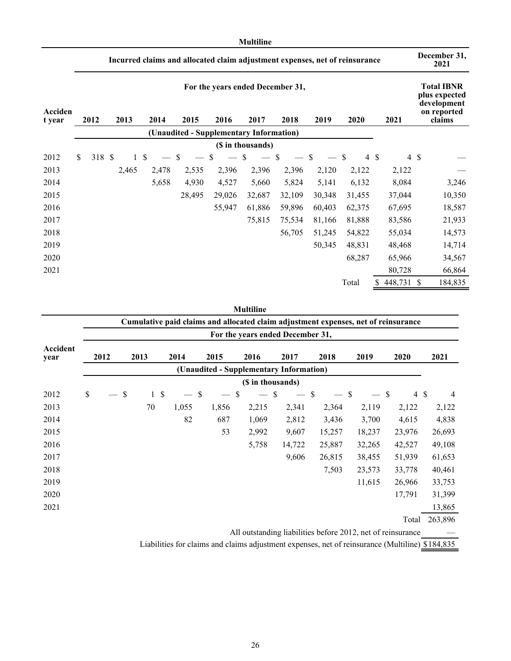|         |               |        |              |              |                                                                             |                                          | <b>Multiline</b>        |        |        |                      |              |                                                                            |
|---------|---------------|--------|--------------|--------------|-----------------------------------------------------------------------------|------------------------------------------|-------------------------|--------|--------|----------------------|--------------|----------------------------------------------------------------------------|
|         |               |        |              |              | Incurred claims and allocated claim adjustment expenses, net of reinsurance |                                          |                         |        |        |                      |              | December 31,<br>2021                                                       |
| Acciden |               | 2012   | 2013         | 2014         | 2015                                                                        | For the years ended December 31,<br>2016 | 2017                    | 2018   | 2019   | 2020                 | 2021         | <b>Total IBNR</b><br>plus expected<br>development<br>on reported<br>claims |
| t year  |               |        |              |              | (Unaudited - Supplementary Information)                                     |                                          |                         |        |        |                      |              |                                                                            |
|         |               |        |              |              |                                                                             |                                          | (\$ in thousands)       |        |        |                      |              |                                                                            |
| 2012    | $\mathsf{\$}$ | 318 \$ | $\mathbf{1}$ | $\mathbb{S}$ | <sup>\$</sup>                                                               | $\mathbb{S}$                             | $\mathcal{S}$<br>$-$ \$ |        | S      | -S<br>$\overline{4}$ | <sup>S</sup> | 4S                                                                         |
| 2013    |               |        | 2,465        | 2,478        | 2,535                                                                       | 2,396                                    | 2,396                   | 2,396  | 2,120  | 2,122                | 2,122        |                                                                            |
| 2014    |               |        |              | 5,658        | 4,930                                                                       | 4,527                                    | 5,660                   | 5,824  | 5,141  | 6,132                | 8,084        | 3,246                                                                      |
| 2015    |               |        |              |              | 28,495                                                                      | 29,026                                   | 32,687                  | 32,109 | 30,348 | 31,455               | 37,044       | 10,350                                                                     |
| 2016    |               |        |              |              |                                                                             | 55,947                                   | 61,886                  | 59,896 | 60,403 | 62,375               | 67,695       | 18,587                                                                     |
| 2017    |               |        |              |              |                                                                             |                                          | 75,815                  | 75,534 | 81,166 | 81,888               | 83,586       | 21,933                                                                     |
| 2018    |               |        |              |              |                                                                             |                                          |                         | 56,705 | 51,245 | 54,822               | 55,034       | 14,573                                                                     |
| 2019    |               |        |              |              |                                                                             |                                          |                         |        | 50,345 | 48,831               | 48,468       | 14,714                                                                     |
| 2020    |               |        |              |              |                                                                             |                                          |                         |        |        | 68,287               | 65,966       | 34,567                                                                     |
| 2021    |               |        |              |              |                                                                             |                                          |                         |        |        |                      | 80,728       | 66,864                                                                     |
|         |               |        |              |              |                                                                             |                                          |                         |        |        | Total                | 448,731      | 184,835<br><sup>S</sup>                                                    |

|--|

|                  |      |                    |       | Cumulative paid claims and allocated claim adjustment expenses, net of reinsurance |                   |                                  |        |        |                |                                 |
|------------------|------|--------------------|-------|------------------------------------------------------------------------------------|-------------------|----------------------------------|--------|--------|----------------|---------------------------------|
|                  |      |                    |       |                                                                                    |                   | For the years ended December 31, |        |        |                |                                 |
| Accident<br>year | 2012 | 2013               | 2014  | 2015                                                                               | 2016              | 2017                             | 2018   | 2019   | 2020           | 2021                            |
|                  |      |                    |       | (Unaudited - Supplementary Information)                                            |                   |                                  |        |        |                |                                 |
|                  |      |                    |       |                                                                                    | (\$ in thousands) |                                  |        |        |                |                                 |
| 2012             | \$   | \$<br>$1 \text{ }$ | \$    | $\mathcal{S}$<br>$\frac{1}{1}$                                                     | $-$ \$            | $-$ \$                           | $-$ \$ | $-$ \$ | $\overline{4}$ | $\mathcal{S}$<br>$\overline{4}$ |
| 2013             |      | 70                 | 1,055 | 1,856                                                                              | 2,215             | 2,341                            | 2,364  | 2,119  | 2,122          | 2,122                           |
| 2014             |      |                    | 82    | 687                                                                                | 1,069             | 2,812                            | 3,436  | 3,700  | 4,615          | 4,838                           |
| 2015             |      |                    |       | 53                                                                                 | 2,992             | 9,607                            | 15,257 | 18,237 | 23,976         | 26,693                          |
| 2016             |      |                    |       |                                                                                    | 5,758             | 14,722                           | 25,887 | 32,265 | 42,527         | 49,108                          |
| 2017             |      |                    |       |                                                                                    |                   | 9,606                            | 26,815 | 38,455 | 51,939         | 61,653                          |
| 2018             |      |                    |       |                                                                                    |                   |                                  | 7,503  | 23,573 | 33,778         | 40,461                          |
| 2019             |      |                    |       |                                                                                    |                   |                                  |        | 11,615 | 26,966         | 33,753                          |
| 2020             |      |                    |       |                                                                                    |                   |                                  |        |        | 17,791         | 31,399                          |
| 2021             |      |                    |       |                                                                                    |                   |                                  |        |        |                | 13,865                          |
|                  |      |                    |       |                                                                                    |                   |                                  |        |        | Total          | 263,896                         |

All outstanding liabilities before 2012, net of reinsurance

Liabilities for claims and claims adjustment expenses, net of reinsurance (Multiline)  $\frac{\$184,835}{\$184,835}$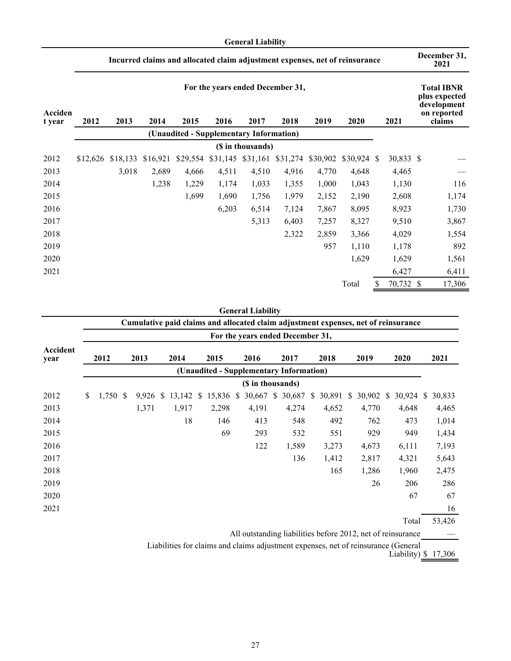|                   |          |          |          |          |       | <b>General Liability</b>                |                                                                             |          |              |   |           |                                                                            |
|-------------------|----------|----------|----------|----------|-------|-----------------------------------------|-----------------------------------------------------------------------------|----------|--------------|---|-----------|----------------------------------------------------------------------------|
|                   |          |          |          |          |       |                                         | Incurred claims and allocated claim adjustment expenses, net of reinsurance |          |              |   |           | December 31,<br>2021                                                       |
| Acciden<br>t year | 2012     | 2013     | 2014     | 2015     | 2016  | 2017                                    | For the years ended December 31,<br>2018                                    | 2019     | 2020         |   | 2021      | <b>Total IBNR</b><br>plus expected<br>development<br>on reported<br>claims |
|                   |          |          |          |          |       | (Unaudited - Supplementary Information) |                                                                             |          |              |   |           |                                                                            |
|                   |          |          |          |          |       | (\$ in thousands)                       |                                                                             |          |              |   |           |                                                                            |
| 2012              | \$12,626 | \$18,133 | \$16,921 | \$29,554 |       |                                         | \$31,145 \$31,161 \$31,274                                                  | \$30,902 | $$30,924$ \$ |   | 30,833 \$ |                                                                            |
| 2013              |          | 3,018    | 2,689    | 4,666    | 4,511 | 4,510                                   | 4,916                                                                       | 4,770    | 4,648        |   | 4,465     |                                                                            |
| 2014              |          |          | 1,238    | 1,229    | 1,174 | 1,033                                   | 1,355                                                                       | 1,000    | 1,043        |   | 1,130     | 116                                                                        |
| 2015              |          |          |          | 1,699    | 1,690 | 1,756                                   | 1,979                                                                       | 2,152    | 2,190        |   | 2,608     | 1,174                                                                      |
| 2016              |          |          |          |          | 6,203 | 6,514                                   | 7,124                                                                       | 7,867    | 8,095        |   | 8,923     | 1,730                                                                      |
| 2017              |          |          |          |          |       | 5,313                                   | 6,403                                                                       | 7,257    | 8,327        |   | 9,510     | 3,867                                                                      |
| 2018              |          |          |          |          |       |                                         | 2,322                                                                       | 2,859    | 3,366        |   | 4,029     | 1,554                                                                      |
| 2019              |          |          |          |          |       |                                         |                                                                             | 957      | 1,110        |   | 1,178     | 892                                                                        |
| 2020              |          |          |          |          |       |                                         |                                                                             |          | 1,629        |   | 1,629     | 1,561                                                                      |
| 2021              |          |          |          |          |       |                                         |                                                                             |          |              |   | 6,427     | 6,411                                                                      |
|                   |          |          |          |          |       |                                         |                                                                             |          | Total        | S | 70,732 \$ | 17,306                                                                     |

|                  |                  |       |              | Cumulative paid claims and allocated claim adjustment expenses, net of reinsurance |              |           |                   |                                         |              |        |               |        |              |        |    |        |
|------------------|------------------|-------|--------------|------------------------------------------------------------------------------------|--------------|-----------|-------------------|-----------------------------------------|--------------|--------|---------------|--------|--------------|--------|----|--------|
|                  |                  |       |              |                                                                                    |              |           |                   | For the years ended December 31,        |              |        |               |        |              |        |    |        |
| Accident<br>year | 2012             | 2013  |              | 2014                                                                               |              | 2015      | 2016              | 2017                                    |              | 2018   |               | 2019   |              | 2020   |    | 2021   |
|                  |                  |       |              |                                                                                    |              |           |                   | (Unaudited - Supplementary Information) |              |        |               |        |              |        |    |        |
|                  |                  |       |              |                                                                                    |              |           | (\$ in thousands) |                                         |              |        |               |        |              |        |    |        |
| 2012             | \$<br>$1,750$ \$ | 9,926 | <sup>S</sup> | 13,142                                                                             | <sup>S</sup> | 15,836 \$ |                   | 30,667 \$ 30,687                        | <sup>S</sup> | 30,891 | <sup>\$</sup> | 30,902 | <sup>S</sup> | 30,924 | -S | 30,833 |
| 2013             |                  | 1,371 |              | 1,917                                                                              |              | 2,298     | 4,191             | 4,274                                   |              | 4,652  |               | 4,770  |              | 4,648  |    | 4,465  |
| 2014             |                  |       |              | 18                                                                                 |              | 146       | 413               | 548                                     |              | 492    |               | 762    |              | 473    |    | 1,014  |
| 2015             |                  |       |              |                                                                                    |              | 69        | 293               | 532                                     |              | 551    |               | 929    |              | 949    |    | 1,434  |
| 2016             |                  |       |              |                                                                                    |              |           | 122               | 1,589                                   |              | 3,273  |               | 4,673  |              | 6,111  |    | 7,193  |
| 2017             |                  |       |              |                                                                                    |              |           |                   | 136                                     |              | 1,412  |               | 2,817  |              | 4,321  |    | 5,643  |
| 2018             |                  |       |              |                                                                                    |              |           |                   |                                         |              | 165    |               | 1,286  |              | 1,960  |    | 2,475  |
| 2019             |                  |       |              |                                                                                    |              |           |                   |                                         |              |        |               | 26     |              | 206    |    | 286    |
| 2020             |                  |       |              |                                                                                    |              |           |                   |                                         |              |        |               |        |              | 67     |    | 67     |
| 2021             |                  |       |              |                                                                                    |              |           |                   |                                         |              |        |               |        |              |        |    | 16     |
|                  |                  |       |              |                                                                                    |              |           |                   |                                         |              |        |               |        |              | Total  |    | 53,426 |

All outstanding liabilities before 2012, net of reinsurance —

Liabilities for claims and claims adjustment expenses, net of reinsurance (General

Liability) \$ 17,306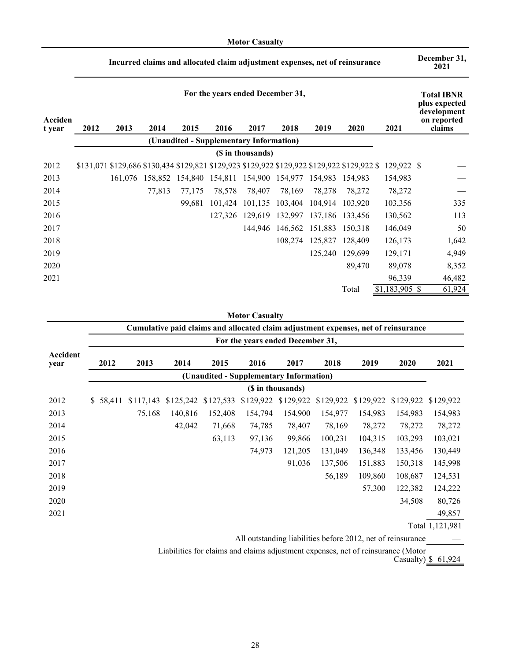|         |      |                                                                                              |         |         |         | <b>Motor Casualty</b>                   |         |         |                                                                             |                 |                                                                  |
|---------|------|----------------------------------------------------------------------------------------------|---------|---------|---------|-----------------------------------------|---------|---------|-----------------------------------------------------------------------------|-----------------|------------------------------------------------------------------|
|         |      |                                                                                              |         |         |         |                                         |         |         | Incurred claims and allocated claim adjustment expenses, net of reinsurance |                 | December 31,<br>2021                                             |
| Acciden |      |                                                                                              |         |         |         | For the years ended December 31,        |         |         |                                                                             |                 | <b>Total IBNR</b><br>plus expected<br>development<br>on reported |
| t year  | 2012 | 2013                                                                                         | 2014    | 2015    | 2016    | 2017                                    | 2018    | 2019    | 2020                                                                        | 2021            | claims                                                           |
|         |      |                                                                                              |         |         |         | (Unaudited - Supplementary Information) |         |         |                                                                             |                 |                                                                  |
|         |      |                                                                                              |         |         |         | (\$ in thousands)                       |         |         |                                                                             |                 |                                                                  |
| 2012    |      | \$131,071 \$129,686 \$130,434 \$129,821 \$129,923 \$129,922 \$129,922 \$129,922 \$129,922 \$ |         |         |         |                                         |         |         |                                                                             | 129,922 \$      |                                                                  |
| 2013    |      | 161.076                                                                                      | 158.852 | 154,840 | 154,811 | 154,900                                 | 154.977 | 154.983 | 154.983                                                                     | 154,983         |                                                                  |
| 2014    |      |                                                                                              | 77,813  | 77,175  | 78,578  | 78,407                                  | 78,169  | 78,278  | 78,272                                                                      | 78,272          |                                                                  |
| 2015    |      |                                                                                              |         | 99.681  | 101,424 | 101,135                                 | 103,404 | 104,914 | 103,920                                                                     | 103,356         | 335                                                              |
| 2016    |      |                                                                                              |         |         |         | 127,326 129,619                         | 132,997 | 137,186 | 133.456                                                                     | 130,562         | 113                                                              |
| 2017    |      |                                                                                              |         |         |         | 144,946                                 | 146,562 | 151,883 | 150,318                                                                     | 146,049         | 50                                                               |
| 2018    |      |                                                                                              |         |         |         |                                         | 108,274 | 125,827 | 128,409                                                                     | 126,173         | 1,642                                                            |
| 2019    |      |                                                                                              |         |         |         |                                         |         | 125,240 | 129,699                                                                     | 129,171         | 4,949                                                            |
| 2020    |      |                                                                                              |         |         |         |                                         |         |         | 89,470                                                                      | 89,078          | 8,352                                                            |
| 2021    |      |                                                                                              |         |         |         |                                         |         |         |                                                                             | 96,339          | 46,482                                                           |
|         |      |                                                                                              |         |         |         |                                         |         |         | Total                                                                       | $$1,183,905$ \$ | 61,924                                                           |

|                  |          |           |         |                     |         |                                         |           |           | Cumulative paid claims and allocated claim adjustment expenses, net of reinsurance |                 |
|------------------|----------|-----------|---------|---------------------|---------|-----------------------------------------|-----------|-----------|------------------------------------------------------------------------------------|-----------------|
|                  |          |           |         |                     |         | For the years ended December 31,        |           |           |                                                                                    |                 |
| Accident<br>year | 2012     | 2013      | 2014    | 2015                | 2016    | 2017                                    | 2018      | 2019      | 2020                                                                               | 2021            |
|                  |          |           |         |                     |         | (Unaudited - Supplementary Information) |           |           |                                                                                    |                 |
|                  |          |           |         |                     |         | (\$ in thousands)                       |           |           |                                                                                    |                 |
| 2012             | \$58,411 | \$117,143 |         | \$125,242 \$127,533 |         | \$129,922 \$129,922                     | \$129,922 | \$129,922 | \$129,922                                                                          | \$129,922       |
| 2013             |          | 75,168    | 140,816 | 152,408             | 154,794 | 154,900                                 | 154,977   | 154,983   | 154,983                                                                            | 154,983         |
| 2014             |          |           | 42,042  | 71,668              | 74,785  | 78,407                                  | 78,169    | 78,272    | 78,272                                                                             | 78,272          |
| 2015             |          |           |         | 63,113              | 97,136  | 99,866                                  | 100,231   | 104,315   | 103,293                                                                            | 103,021         |
| 2016             |          |           |         |                     | 74,973  | 121,205                                 | 131,049   | 136,348   | 133,456                                                                            | 130,449         |
| 2017             |          |           |         |                     |         | 91,036                                  | 137,506   | 151,883   | 150,318                                                                            | 145,998         |
| 2018             |          |           |         |                     |         |                                         | 56,189    | 109,860   | 108,687                                                                            | 124,531         |
| 2019             |          |           |         |                     |         |                                         |           | 57,300    | 122,382                                                                            | 124,222         |
| 2020             |          |           |         |                     |         |                                         |           |           | 34,508                                                                             | 80,726          |
| 2021             |          |           |         |                     |         |                                         |           |           |                                                                                    | 49,857          |
|                  |          |           |         |                     |         |                                         |           |           |                                                                                    | Total 1,121,981 |

All outstanding liabilities before 2012, net of reinsurance \_\_\_\_\_\_

Liabilities for claims and claims adjustment expenses, net of reinsurance (Motor

Casualty) \$ 61,924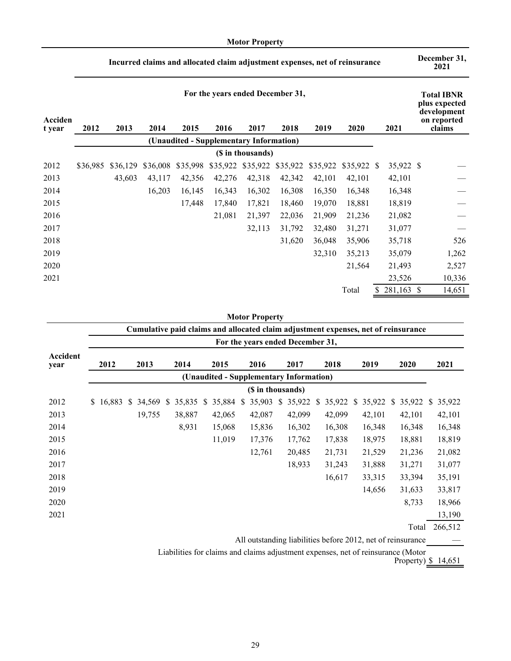| <b>Motor Property</b> |  |  |
|-----------------------|--|--|
|-----------------------|--|--|

|                   |          |          |          | Incurred claims and allocated claim adjustment expenses, net of reinsurance                                   |                                          |                                  |                   |          |             |        |            | December 31,<br>2021                                                       |
|-------------------|----------|----------|----------|---------------------------------------------------------------------------------------------------------------|------------------------------------------|----------------------------------|-------------------|----------|-------------|--------|------------|----------------------------------------------------------------------------|
| Acciden<br>t year | 2012     | 2013     | 2014     | 2015                                                                                                          | For the years ended December 31,<br>2016 | 2017                             | 2018              | 2019     | 2020        |        | 2021       | <b>Total IBNR</b><br>plus expected<br>development<br>on reported<br>claims |
|                   |          |          |          | (Unaudited - Supplementary Information)                                                                       |                                          |                                  |                   |          |             |        |            |                                                                            |
|                   |          |          |          |                                                                                                               |                                          | (\$ in thousands)                |                   |          |             |        |            |                                                                            |
| 2012              | \$36,985 | \$36,129 | \$36,008 | \$35,998                                                                                                      | \$35,922                                 | \$35,922                         | \$35,922          | \$35,922 | \$35,922 \$ |        | 35,922 \$  |                                                                            |
| 2013              |          | 43,603   | 43,117   | 42,356                                                                                                        | 42,276                                   | 42,318                           | 42,342            | 42,101   | 42,101      |        | 42,101     |                                                                            |
| 2014              |          |          | 16,203   | 16,145                                                                                                        | 16,343                                   | 16,302                           | 16,308            | 16,350   | 16,348      |        | 16,348     |                                                                            |
| 2015              |          |          |          | 17,448                                                                                                        | 17,840                                   | 17,821                           | 18,460            | 19,070   | 18,881      |        | 18,819     |                                                                            |
| 2016              |          |          |          |                                                                                                               | 21,081                                   | 21,397                           | 22,036            | 21,909   | 21,236      |        | 21,082     |                                                                            |
| 2017              |          |          |          |                                                                                                               |                                          | 32,113                           | 31,792            | 32,480   | 31,271      |        | 31,077     |                                                                            |
| 2018              |          |          |          |                                                                                                               |                                          |                                  | 31,620            | 36,048   | 35,906      |        | 35,718     | 526                                                                        |
| 2019              |          |          |          |                                                                                                               |                                          |                                  |                   | 32,310   | 35,213      |        | 35,079     | 1,262                                                                      |
| 2020              |          |          |          |                                                                                                               |                                          |                                  |                   |          | 21,564      |        | 21,493     | 2,527                                                                      |
| 2021              |          |          |          |                                                                                                               |                                          |                                  |                   |          |             |        | 23,526     | 10,336                                                                     |
|                   |          |          |          |                                                                                                               |                                          |                                  |                   |          | Total       | S.     | 281,163 \$ | 14,651                                                                     |
|                   |          |          |          |                                                                                                               |                                          |                                  |                   |          |             |        |            |                                                                            |
|                   |          |          |          | Cumulative paid claims and allocated claim adjustment expenses, net of reinsurance                            |                                          | <b>Motor Property</b>            |                   |          |             |        |            |                                                                            |
|                   |          |          |          |                                                                                                               |                                          | For the years ended December 31, |                   |          |             |        |            |                                                                            |
| Accident          |          |          |          |                                                                                                               |                                          |                                  |                   |          |             |        |            |                                                                            |
| year              |          | 2012     | 2013     | 2014                                                                                                          | 2015                                     | 2016                             | 2017              | 2018     | 2019        |        | 2020       | 2021                                                                       |
|                   |          |          |          |                                                                                                               | (Unaudited - Supplementary Information)  |                                  |                   |          |             |        |            |                                                                            |
| 2012              |          |          |          |                                                                                                               |                                          |                                  | (\$ in thousands) |          |             |        |            |                                                                            |
| 2013              |          |          | 19,755   | \$ 16,883 \$ 34,569 \$ 35,835 \$ 35,884 \$ 35,903 \$ 35,922 \$ 35,922 \$ 35,922 \$ 35,922 \$ 35,922<br>38,887 | 42,065                                   | 42,087                           | 42,099            | 42,099   |             | 42,101 | 42,101     | 42,101                                                                     |
| 2014              |          |          |          | 8,931                                                                                                         | 15,068                                   | 15,836                           | 16,302            | 16,308   |             | 16,348 | 16,348     |                                                                            |
| 2015              |          |          |          |                                                                                                               | 11,019                                   | 17,376                           |                   | 17,838   |             | 18,975 | 18,881     | 16,348                                                                     |
|                   |          |          |          |                                                                                                               |                                          |                                  | 17,762            |          |             |        |            | 18,819                                                                     |
| 2016              |          |          |          |                                                                                                               |                                          | 12,761                           | 20,485            | 21,731   |             | 21,529 | 21,236     | 21,082                                                                     |

Liabilities for claims and claims adjustment expenses, net of reinsurance (Motor

All outstanding liabilities before 2012, net of reinsurance —

Total 266,512

Property) <u>\$ 14,651</u>

2017 18,933 31,243 31,888 31,271 31,077 2018 16,617 33,315 33,394 35,191 2019 14,656 31,633 33,817 2020 8,733 18,966 2021 13,190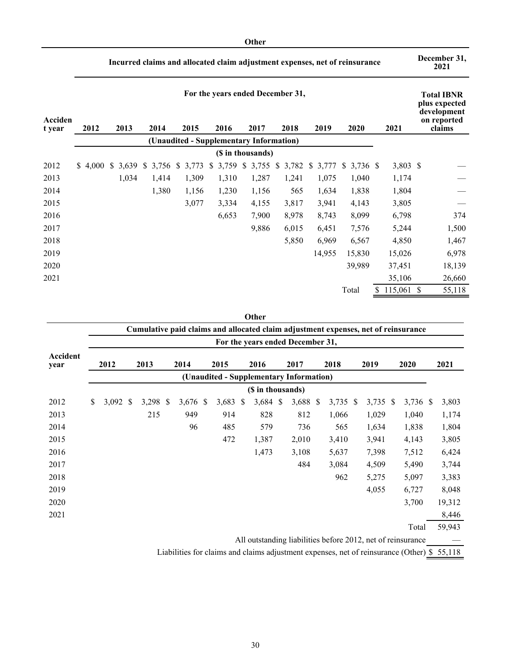|                   |      |       |                                                                         |       |       |                                          |       |        | Incurred claims and allocated claim adjustment expenses, net of reinsurance        |               | December 31,<br>2021                                                       |
|-------------------|------|-------|-------------------------------------------------------------------------|-------|-------|------------------------------------------|-------|--------|------------------------------------------------------------------------------------|---------------|----------------------------------------------------------------------------|
| Acciden<br>t year | 2012 | 2013  | 2014                                                                    | 2015  | 2016  | For the years ended December 31,<br>2017 | 2018  | 2019   | 2020                                                                               | 2021          | <b>Total IBNR</b><br>plus expected<br>development<br>on reported<br>claims |
|                   |      |       | (Unaudited - Supplementary Information)                                 |       |       |                                          |       |        |                                                                                    |               |                                                                            |
|                   |      |       |                                                                         |       |       | (\$ in thousands)                        |       |        |                                                                                    |               |                                                                            |
| 2012              |      |       | \$ 4,000 \$ 3,639 \$ 3,756 \$ 3,773 \$ 3,759 \$ 3,755 \$ 3,782 \$ 3,777 |       |       |                                          |       |        | $$3,736$ \$                                                                        | 3,803 \$      |                                                                            |
| 2013              |      | 1,034 | 1,414                                                                   | 1,309 | 1,310 | 1,287                                    | 1,241 | 1,075  | 1,040                                                                              | 1,174         |                                                                            |
| 2014              |      |       | 1,380                                                                   | 1,156 | 1,230 | 1,156                                    | 565   | 1,634  | 1,838                                                                              | 1,804         |                                                                            |
| 2015              |      |       |                                                                         | 3,077 | 3,334 | 4,155                                    | 3,817 | 3,941  | 4,143                                                                              | 3,805         |                                                                            |
| 2016              |      |       |                                                                         |       | 6,653 | 7,900                                    | 8,978 | 8,743  | 8,099                                                                              | 6,798         | 374                                                                        |
| 2017              |      |       |                                                                         |       |       | 9,886                                    | 6,015 | 6,451  | 7,576                                                                              | 5,244         | 1,500                                                                      |
| 2018              |      |       |                                                                         |       |       |                                          | 5,850 | 6,969  | 6,567                                                                              | 4,850         | 1,467                                                                      |
| 2019              |      |       |                                                                         |       |       |                                          |       | 14,955 | 15,830                                                                             | 15,026        | 6,978                                                                      |
| 2020              |      |       |                                                                         |       |       |                                          |       |        | 39,989                                                                             | 37,451        | 18,139                                                                     |
| 2021              |      |       |                                                                         |       |       |                                          |       |        |                                                                                    | 35,106        | 26,660                                                                     |
|                   |      |       |                                                                         |       |       |                                          |       |        | Total                                                                              | $$115,061$ \$ | 55,118                                                                     |
|                   |      |       |                                                                         |       |       | Other                                    |       |        | Cumulative paid claims and allocated claim adjustment expenses, net of reinsurance |               |                                                                            |

|                  |                |           |          |       |               | For the years ended December 31,        |          |            |          |          |        |
|------------------|----------------|-----------|----------|-------|---------------|-----------------------------------------|----------|------------|----------|----------|--------|
| Accident<br>year | 2012           | 2013      | 2014     | 2015  |               | 2016                                    | 2017     | 2018       | 2019     | 2020     | 2021   |
|                  |                |           |          |       |               | (Unaudited - Supplementary Information) |          |            |          |          |        |
|                  |                |           |          |       |               | (\$ in thousands)                       |          |            |          |          |        |
| 2012             | \$<br>3,092 \$ | 3,298 $$$ | 3,676 \$ | 3,683 | $\mathcal{S}$ | 3,684 $$$                               | 3,688 \$ | $3,735$ \$ | 3,735 \$ | 3,736 \$ | 3,803  |
| 2013             |                | 215       | 949      | 914   |               | 828                                     | 812      | 1,066      | 1,029    | 1,040    | 1,174  |
| 2014             |                |           | 96       | 485   |               | 579                                     | 736      | 565        | 1,634    | 1,838    | 1,804  |
|                  |                |           |          | 472   |               | 1,387                                   | 2,010    | 3,410      | 3,941    | 4,143    | 3,805  |
|                  |                |           |          |       |               | 1,473                                   | 3,108    | 5,637      | 7,398    | 7,512    | 6,424  |
|                  |                |           |          |       |               |                                         | 484      | 3,084      | 4,509    | 5,490    | 3,744  |
|                  |                |           |          |       |               |                                         |          | 962        | 5,275    | 5,097    | 3,383  |
|                  |                |           |          |       |               |                                         |          |            | 4,055    | 6,727    | 8,048  |
|                  |                |           |          |       |               |                                         |          |            |          | 3,700    | 19,312 |
|                  |                |           |          |       |               |                                         |          |            |          |          | 8,446  |
|                  |                |           |          |       |               |                                         |          |            |          | Total    | 59,943 |

All outstanding liabilities before 2012, net of reinsurance

Liabilities for claims and claims adjustment expenses, net of reinsurance (Other)  $\frac{\sqrt{3} \times 55,118}{\sqrt{3} \times 55,118}$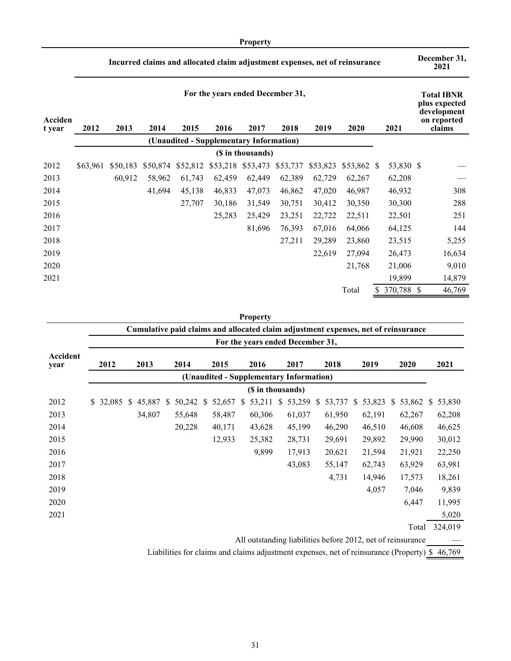|          |          |          |        |        |        |                                                                                    | <b>Property</b>                  |        |          |       |             |        |      |           |               |                                                                                                     |
|----------|----------|----------|--------|--------|--------|------------------------------------------------------------------------------------|----------------------------------|--------|----------|-------|-------------|--------|------|-----------|---------------|-----------------------------------------------------------------------------------------------------|
|          |          |          |        |        |        | Incurred claims and allocated claim adjustment expenses, net of reinsurance        |                                  |        |          |       |             |        |      |           |               | December 31,<br>2021                                                                                |
| Acciden  | 2012     | 2013     | 2014   |        | 2015   | For the years ended December 31,<br>2016                                           | 2017                             | 2018   | 2019     |       | 2020        |        | 2021 |           |               | <b>Total IBNR</b><br>plus expected<br>development<br>on reported<br>claims                          |
| t year   |          |          |        |        |        | (Unaudited - Supplementary Information)                                            |                                  |        |          |       |             |        |      |           |               |                                                                                                     |
|          |          |          |        |        |        |                                                                                    | (\$ in thousands)                |        |          |       |             |        |      |           |               |                                                                                                     |
| 2012     | \$63,961 | \$50,183 |        |        |        | \$50,874 \$52,812 \$53,218 \$53,473 \$53,737                                       |                                  |        | \$53,823 |       | \$53,862 \$ |        |      | 53,830 \$ |               |                                                                                                     |
| 2013     |          | 60,912   |        | 58,962 | 61,743 | 62,459                                                                             | 62,449                           | 62,389 | 62,729   |       | 62,267      |        |      | 62,208    |               |                                                                                                     |
| 2014     |          |          |        | 41,694 | 45,138 | 46,833                                                                             | 47,073                           | 46,862 | 47,020   |       | 46,987      |        |      | 46,932    |               | 308                                                                                                 |
| 2015     |          |          |        |        | 27,707 | 30,186                                                                             | 31,549                           | 30,751 | 30,412   |       | 30,350      |        |      | 30,300    |               | 288                                                                                                 |
| 2016     |          |          |        |        |        | 25,283                                                                             | 25,429                           | 23,251 | 22,722   |       | 22,511      |        |      | 22,501    |               | 251                                                                                                 |
| 2017     |          |          |        |        |        |                                                                                    | 81,696                           | 76,393 | 67,016   |       | 64,066      |        |      | 64,125    |               | 144                                                                                                 |
| 2018     |          |          |        |        |        |                                                                                    |                                  | 27,211 | 29,289   |       | 23,860      |        |      | 23,515    |               | 5,255                                                                                               |
| 2019     |          |          |        |        |        |                                                                                    |                                  |        | 22,619   |       | 27,094      |        |      | 26,473    |               | 16,634                                                                                              |
| 2020     |          |          |        |        |        |                                                                                    |                                  |        |          |       | 21,768      |        |      | 21,006    |               | 9,010                                                                                               |
| 2021     |          |          |        |        |        |                                                                                    |                                  |        |          |       |             |        |      | 19,899    |               | 14,879                                                                                              |
|          |          |          |        |        |        |                                                                                    |                                  |        |          | Total |             |        |      | 370,788   | $\mathcal{S}$ | 46,769                                                                                              |
|          |          |          |        |        |        |                                                                                    |                                  |        |          |       |             |        |      |           |               |                                                                                                     |
|          |          |          |        |        |        | Cumulative paid claims and allocated claim adjustment expenses, net of reinsurance | <b>Property</b>                  |        |          |       |             |        |      |           |               |                                                                                                     |
|          |          |          |        |        |        |                                                                                    | For the years ended December 31, |        |          |       |             |        |      |           |               |                                                                                                     |
| Accident |          |          |        |        |        |                                                                                    |                                  |        |          |       |             |        |      |           |               |                                                                                                     |
| year     |          | 2012     | 2013   |        | 2014   | 2015                                                                               | 2016                             | 2017   | 2018     |       | 2019        |        |      | 2020      |               | 2021                                                                                                |
|          |          |          |        |        |        | (Unaudited - Supplementary Information)                                            |                                  |        |          |       |             |        |      |           |               |                                                                                                     |
|          |          |          |        |        |        |                                                                                    | (\$ in thousands)                |        |          |       |             |        |      |           |               |                                                                                                     |
| 2012     |          |          |        |        |        |                                                                                    |                                  |        |          |       |             |        |      |           |               | \$ 32,085 \$ 45,887 \$ 50,242 \$ 52,657 \$ 53,211 \$ 53,259 \$ 53,737 \$ 53,823 \$ 53,862 \$ 53,830 |
| 2013     |          |          | 34,807 |        | 55,648 | 58,487                                                                             | 60,306                           | 61,037 | 61,950   |       |             | 62,191 |      | 62,267    |               | 62,208                                                                                              |
| 2014     |          |          |        |        | 20,228 | 40,171                                                                             | 43,628                           | 45,199 | 46,290   |       |             | 46,510 |      | 46,608    |               | 46,625                                                                                              |
| 2015     |          |          |        |        |        | 12,933                                                                             | 25,382                           | 28,731 | 29,691   |       |             | 29,892 |      | 29,990    |               | 30,012                                                                                              |
| 2016     |          |          |        |        |        |                                                                                    | 9,899                            | 17,913 | 20,621   |       |             | 21,594 |      | 21,921    |               | 22,250                                                                                              |
| 2017     |          |          |        |        |        |                                                                                    |                                  | 43,083 | 55,147   |       |             | 62,743 |      | 63,929    |               | 63,981                                                                                              |
| 2018     |          |          |        |        |        |                                                                                    |                                  |        | 4,731    |       |             | 14,946 |      | 17,573    |               | 18,261                                                                                              |
| 2019     |          |          |        |        |        |                                                                                    |                                  |        |          |       |             | 4,057  |      | 7,046     |               | 9,839                                                                                               |

2021 5,020 Total 324,019

All outstanding liabilities before 2012, net of reinsurance \_\_\_\_\_\_

Liabilities for claims and claims adjustment expenses, net of reinsurance (Property)  $\frac{\$46,769}{}$ 

2020 6,447 11,995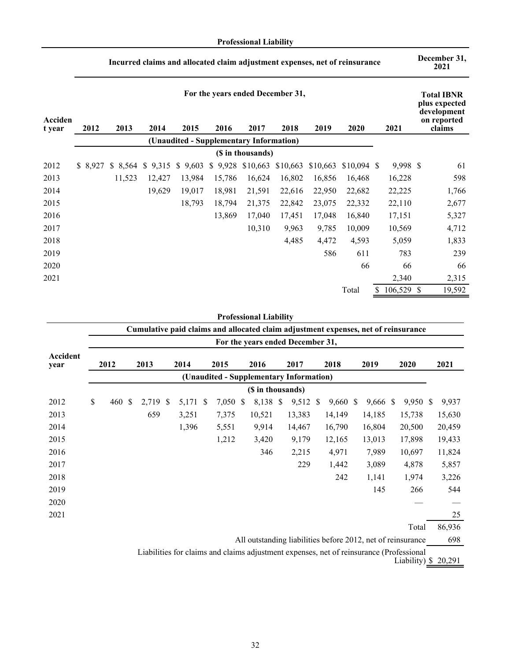|          |         |         |         | Incurred claims and allocated claim adjustment expenses, net of reinsurance        |                                  |                                  |          |          |              |            | December 31,<br>2021                                             |
|----------|---------|---------|---------|------------------------------------------------------------------------------------|----------------------------------|----------------------------------|----------|----------|--------------|------------|------------------------------------------------------------------|
| Acciden  |         |         |         |                                                                                    | For the years ended December 31, |                                  |          |          |              |            | <b>Total IBNR</b><br>plus expected<br>development<br>on reported |
| t year   | 2012    | 2013    | 2014    | 2015                                                                               | 2016                             | 2017                             | 2018     | 2019     | 2020         | 2021       | claims                                                           |
|          |         |         |         | (Unaudited - Supplementary Information)                                            |                                  |                                  |          |          |              |            |                                                                  |
|          |         |         |         |                                                                                    |                                  | (\$ in thousands)                |          |          |              |            |                                                                  |
| 2012     | \$8,927 | \$8,564 | \$9,315 | \$9,603                                                                            | \$9,928                          | \$10,663                         | \$10,663 | \$10,663 | $$10,094$ \$ | 9,998 \$   | 61                                                               |
| 2013     |         | 11,523  | 12,427  | 13,984                                                                             | 15,786                           | 16,624                           | 16,802   | 16,856   | 16,468       | 16,228     | 598                                                              |
| 2014     |         |         | 19,629  | 19,017                                                                             | 18,981                           | 21,591                           | 22,616   | 22,950   | 22,682       | 22,225     | 1,766                                                            |
| 2015     |         |         |         | 18,793                                                                             | 18,794                           | 21,375                           | 22,842   | 23,075   | 22,332       | 22,110     | 2,677                                                            |
| 2016     |         |         |         |                                                                                    | 13,869                           | 17,040                           | 17,451   | 17,048   | 16,840       | 17,151     | 5,327                                                            |
| 2017     |         |         |         |                                                                                    |                                  | 10,310                           | 9,963    | 9,785    | 10,009       | 10,569     | 4,712                                                            |
| 2018     |         |         |         |                                                                                    |                                  |                                  | 4,485    | 4,472    | 4,593        | 5,059      | 1,833                                                            |
| 2019     |         |         |         |                                                                                    |                                  |                                  |          | 586      | 611          | 783        | 239                                                              |
| 2020     |         |         |         |                                                                                    |                                  |                                  |          |          | 66           | 66         | 66                                                               |
| 2021     |         |         |         |                                                                                    |                                  |                                  |          |          |              | 2,340      | 2,315                                                            |
|          |         |         |         |                                                                                    |                                  |                                  |          |          | Total        | 106,529 \$ | 19,592                                                           |
|          |         |         |         |                                                                                    |                                  |                                  |          |          |              |            |                                                                  |
|          |         |         |         |                                                                                    |                                  | <b>Professional Liability</b>    |          |          |              |            |                                                                  |
|          |         |         |         | Cumulative paid claims and allocated claim adjustment expenses, net of reinsurance |                                  |                                  |          |          |              |            |                                                                  |
|          |         |         |         |                                                                                    |                                  | For the years ended December 31, |          |          |              |            |                                                                  |
| Accident |         |         |         |                                                                                    |                                  |                                  |          |          |              |            |                                                                  |

| Accident<br>year | 2012      | 2013           | 2014  |               | 2015  | 2016                                    | 2017     | 2018   |   | 2019     | 2020     | 2021   |
|------------------|-----------|----------------|-------|---------------|-------|-----------------------------------------|----------|--------|---|----------|----------|--------|
|                  |           |                |       |               |       | (Unaudited - Supplementary Information) |          |        |   |          |          |        |
|                  |           |                |       |               |       | (\$ in thousands)                       |          |        |   |          |          |        |
| 2012             | \$<br>460 | \$<br>2,719 \$ | 5,171 | <sup>\$</sup> | 7,050 | \$<br>8,138 \$                          | 9,512 \$ | 9,660  | S | 9,666 \$ | 9,950 \$ | 9,937  |
| 2013             |           | 659            | 3,251 |               | 7,375 | 10,521                                  | 13,383   | 14,149 |   | 14,185   | 15,738   | 15,630 |
| 2014             |           |                | 1,396 |               | 5,551 | 9,914                                   | 14,467   | 16,790 |   | 16,804   | 20,500   | 20,459 |
| 2015             |           |                |       |               | 1,212 | 3,420                                   | 9,179    | 12,165 |   | 13,013   | 17,898   | 19,433 |
| 2016             |           |                |       |               |       | 346                                     | 2,215    | 4,971  |   | 7,989    | 10,697   | 11,824 |
| 2017             |           |                |       |               |       |                                         | 229      | 1,442  |   | 3,089    | 4,878    | 5,857  |
| 2018             |           |                |       |               |       |                                         |          | 242    |   | 1,141    | 1,974    | 3,226  |
| 2019             |           |                |       |               |       |                                         |          |        |   | 145      | 266      | 544    |
| 2020             |           |                |       |               |       |                                         |          |        |   |          |          |        |
| 2021             |           |                |       |               |       |                                         |          |        |   |          |          | 25     |
|                  |           |                |       |               |       |                                         |          |        |   |          | Total    | 86,936 |

All outstanding liabilities before 2012, net of reinsurance 698

Liabilities for claims and claims adjustment expenses, net of reinsurance (Professional

Liability)  $$20,291$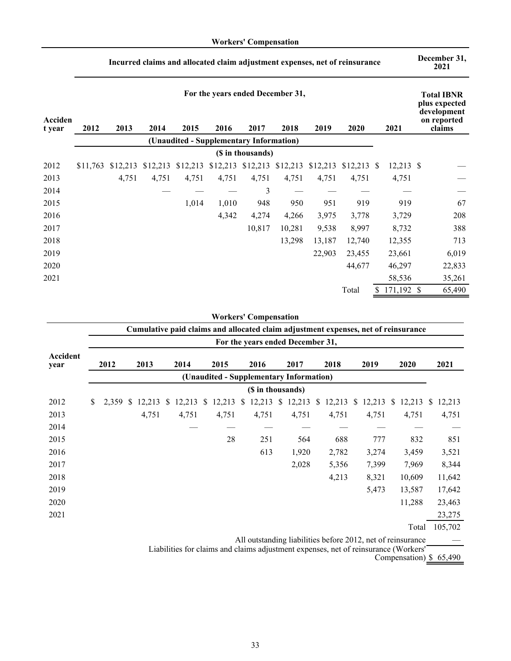|                   |      |                                                                                     | Incurred claims and allocated claim adjustment expenses, net of reinsurance |       |                                          |                              |                                  |        |        |                                                                                    | December 31,<br>2021                                                       |
|-------------------|------|-------------------------------------------------------------------------------------|-----------------------------------------------------------------------------|-------|------------------------------------------|------------------------------|----------------------------------|--------|--------|------------------------------------------------------------------------------------|----------------------------------------------------------------------------|
| Acciden<br>t year | 2012 | 2013                                                                                | 2014                                                                        | 2015  | For the years ended December 31,<br>2016 | 2017                         | 2018                             | 2019   | 2020   | 2021                                                                               | <b>Total IBNR</b><br>plus expected<br>development<br>on reported<br>claims |
|                   |      |                                                                                     |                                                                             |       | (Unaudited - Supplementary Information)  |                              |                                  |        |        |                                                                                    |                                                                            |
|                   |      |                                                                                     |                                                                             |       |                                          | (\$ in thousands)            |                                  |        |        |                                                                                    |                                                                            |
| 2012              |      | \$11,763 \$12,213 \$12,213 \$12,213 \$12,213 \$12,213 \$12,213 \$12,213 \$12,213 \$ |                                                                             |       |                                          |                              |                                  |        |        | $12,213$ \$                                                                        |                                                                            |
| 2013              |      | 4,751                                                                               | 4,751                                                                       | 4,751 | 4,751                                    | 4,751                        | 4,751                            | 4,751  | 4,751  | 4,751                                                                              |                                                                            |
| 2014              |      |                                                                                     |                                                                             |       |                                          | 3                            |                                  |        |        |                                                                                    |                                                                            |
| 2015              |      |                                                                                     |                                                                             | 1,014 | 1,010                                    | 948                          | 950                              | 951    | 919    | 919                                                                                | 67                                                                         |
| 2016              |      |                                                                                     |                                                                             |       | 4,342                                    | 4,274                        | 4,266                            | 3,975  | 3,778  | 3,729                                                                              | 208                                                                        |
| 2017              |      |                                                                                     |                                                                             |       |                                          | 10,817                       | 10,281                           | 9,538  | 8,997  | 8,732                                                                              | 388                                                                        |
| 2018              |      |                                                                                     |                                                                             |       |                                          |                              | 13,298                           | 13,187 | 12,740 | 12,355                                                                             | 713                                                                        |
| 2019              |      |                                                                                     |                                                                             |       |                                          |                              |                                  | 22,903 | 23,455 | 23,661                                                                             | 6,019                                                                      |
| 2020              |      |                                                                                     |                                                                             |       |                                          |                              |                                  |        | 44,677 | 46,297                                                                             | 22,833                                                                     |
| 2021              |      |                                                                                     |                                                                             |       |                                          |                              |                                  |        |        | 58,536                                                                             | 35,261                                                                     |
|                   |      |                                                                                     |                                                                             |       |                                          |                              |                                  |        | Total  | 171,192 \$                                                                         | 65,490                                                                     |
|                   |      |                                                                                     |                                                                             |       |                                          | <b>Workers' Compensation</b> |                                  |        |        |                                                                                    |                                                                            |
|                   |      |                                                                                     |                                                                             |       |                                          |                              |                                  |        |        | Cumulative paid claims and allocated claim adjustment expenses, net of reinsurance |                                                                            |
|                   |      |                                                                                     |                                                                             |       |                                          |                              | For the years ended December 31, |        |        |                                                                                    |                                                                            |
| Accident<br>year  |      | 2012                                                                                | 2013                                                                        | 2014  | 2015                                     | 2016                         | 2017                             | 2018   | 2019   | 2020                                                                               | 2021                                                                       |
|                   |      |                                                                                     |                                                                             |       | (Unaudited - Supplementary Information)  |                              |                                  |        |        |                                                                                    |                                                                            |

|      |    |                    | $\lambda$ |                  | . . |                   | $\bullet$ |       | $\overline{\phantom{a}}$ |       |                                                             |         |
|------|----|--------------------|-----------|------------------|-----|-------------------|-----------|-------|--------------------------|-------|-------------------------------------------------------------|---------|
|      |    |                    |           |                  |     | (\$ in thousands) |           |       |                          |       |                                                             |         |
| 2012 | \$ | 2,359 \$ 12,213 \$ |           | 12,213 \$ 12,213 |     |                   |           |       |                          |       | \$ 12,213 \$ 12,213 \$ 12,213 \$ 12,213 \$ 12,213 \$ 12,213 |         |
| 2013 |    | 4,751              | 4,751     | 4,751            |     | 4,751             |           | 4,751 | 4,751                    | 4,751 | 4,751                                                       | 4,751   |
| 2014 |    |                    |           |                  |     |                   |           |       |                          |       |                                                             |         |
| 2015 |    |                    |           | 28               |     | 251               |           | 564   | 688                      | 777   | 832                                                         | 851     |
| 2016 |    |                    |           |                  |     | 613               |           | 1,920 | 2,782                    | 3,274 | 3,459                                                       | 3,521   |
| 2017 |    |                    |           |                  |     |                   |           | 2,028 | 5,356                    | 7,399 | 7,969                                                       | 8,344   |
| 2018 |    |                    |           |                  |     |                   |           |       | 4,213                    | 8,321 | 10,609                                                      | 11,642  |
| 2019 |    |                    |           |                  |     |                   |           |       |                          | 5,473 | 13,587                                                      | 17,642  |
| 2020 |    |                    |           |                  |     |                   |           |       |                          |       | 11,288                                                      | 23,463  |
| 2021 |    |                    |           |                  |     |                   |           |       |                          |       |                                                             | 23,275  |
|      |    |                    |           |                  |     |                   |           |       |                          |       | Total                                                       | 105,702 |

All outstanding liabilities before 2012, net of reinsurance —

Liabilities for claims and claims adjustment expenses, net of reinsurance (Workers'

Compensation) \$ 65,490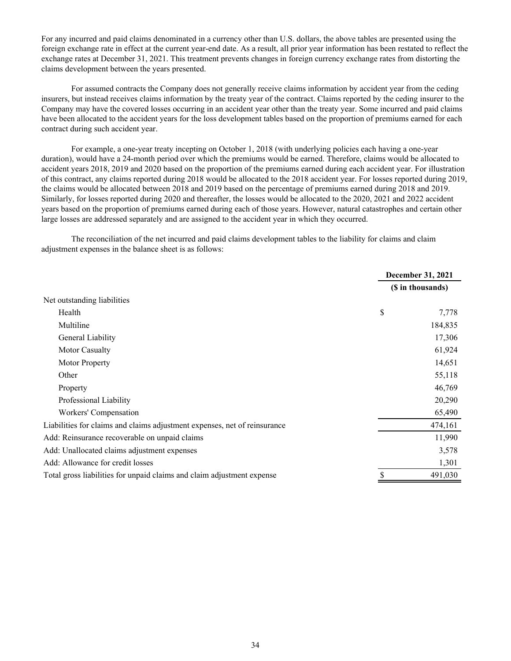For any incurred and paid claims denominated in a currency other than U.S. dollars, the above tables are presented using the foreign exchange rate in effect at the current year-end date. As a result, all prior year information has been restated to reflect the exchange rates at December 31, 2021. This treatment prevents changes in foreign currency exchange rates from distorting the claims development between the years presented.

For assumed contracts the Company does not generally receive claims information by accident year from the ceding insurers, but instead receives claims information by the treaty year of the contract. Claims reported by the ceding insurer to the Company may have the covered losses occurring in an accident year other than the treaty year. Some incurred and paid claims have been allocated to the accident years for the loss development tables based on the proportion of premiums earned for each contract during such accident year.

For example, a one-year treaty incepting on October 1, 2018 (with underlying policies each having a one-year duration), would have a 24-month period over which the premiums would be earned. Therefore, claims would be allocated to accident years 2018, 2019 and 2020 based on the proportion of the premiums earned during each accident year. For illustration of this contract, any claims reported during 2018 would be allocated to the 2018 accident year. For losses reported during 2019, the claims would be allocated between 2018 and 2019 based on the percentage of premiums earned during 2018 and 2019. Similarly, for losses reported during 2020 and thereafter, the losses would be allocated to the 2020, 2021 and 2022 accident years based on the proportion of premiums earned during each of those years. However, natural catastrophes and certain other large losses are addressed separately and are assigned to the accident year in which they occurred.

The reconciliation of the net incurred and paid claims development tables to the liability for claims and claim adjustment expenses in the balance sheet is as follows:

|                                                                           | <b>December 31, 2021</b> |
|---------------------------------------------------------------------------|--------------------------|
|                                                                           | (\$ in thousands)        |
| Net outstanding liabilities                                               |                          |
| Health                                                                    | \$<br>7,778              |
| Multiline                                                                 | 184,835                  |
| General Liability                                                         | 17,306                   |
| Motor Casualty                                                            | 61,924                   |
| <b>Motor Property</b>                                                     | 14,651                   |
| Other                                                                     | 55,118                   |
| Property                                                                  | 46,769                   |
| Professional Liability                                                    | 20,290                   |
| Workers' Compensation                                                     | 65,490                   |
| Liabilities for claims and claims adjustment expenses, net of reinsurance | 474,161                  |
| Add: Reinsurance recoverable on unpaid claims                             | 11,990                   |
| Add: Unallocated claims adjustment expenses                               | 3,578                    |
| Add: Allowance for credit losses                                          | 1,301                    |
| Total gross liabilities for unpaid claims and claim adjustment expense    | 491,030                  |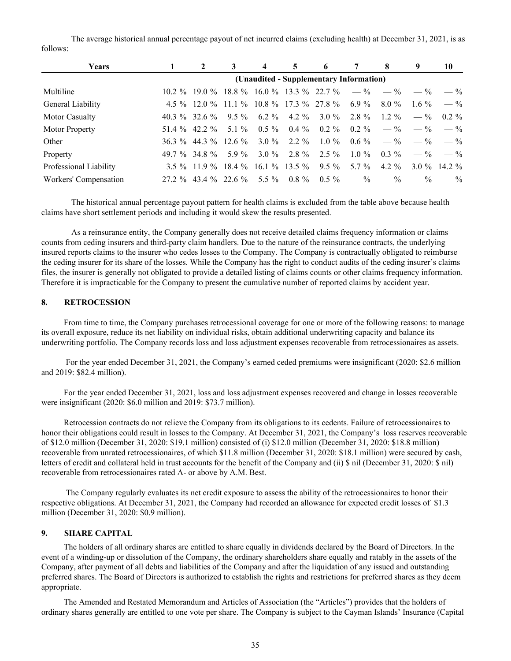The average historical annual percentage payout of net incurred claims (excluding health) at December 31, 2021, is as follows:

| Years                  |                 | 3                                   | 4        | 5        | 6                                                 |          | 8                                | 9                             | 10                 |
|------------------------|-----------------|-------------------------------------|----------|----------|---------------------------------------------------|----------|----------------------------------|-------------------------------|--------------------|
|                        |                 |                                     |          |          | (Unaudited - Supplementary Information)           |          |                                  |                               |                    |
| Multiline              |                 |                                     |          |          | $10.2\%$ 19.0 % 18.8 % 16.0 % 13.3 % 22.7 % $-$ % |          | $- \frac{9}{6}$                  | $- \frac{9}{6}$               | $-$ %              |
| General Liability      |                 |                                     |          |          | 4.5 % 12.0 % 11.1 % 10.8 % 17.3 % 27.8 %          | $6.9\%$  | $8.0\%$                          | $16\%$                        | $-$ %              |
| Motor Casualty         | $40.3\%$ 32.6 % | $9.5\%$                             | 6.2 %    | 4.2 $\%$ | $3.0 \%$                                          | 2.8 %    | $1.2 \%$                         | $- \frac{9}{6}$               | $0.2\%$            |
| <b>Motor Property</b>  |                 | $51.4\%$ 42.2 % 5.1 %               | $0.5\%$  | $0.4\%$  | $0.2 \%$                                          | $0.2 \%$ |                                  | $- \frac{6}{9} - \frac{6}{9}$ | $- \frac{9}{6}$    |
| Other                  |                 | $36.3\%$ 44.3 % 12.6 %              | 3.0 $\%$ | $2.2\%$  | $1.0 \%$                                          | $0.6\%$  | $- \frac{6}{10}$                 | $- \frac{0}{0}$               | $-$ %              |
| Property               | 49.7 % 34.8 %   | 5.9 $\%$                            | $3.0 \%$ | $2.8 \%$ | $2.5\%$                                           | $1.0 \%$ | $0.3\%$                          | $- \frac{6}{10}$              | $- \frac{9}{6}$    |
| Professional Liability |                 | $3.5\%$ 11.9 % 18.4 % 16.1 % 13.5 % |          |          | $9.5\%$                                           | 5.7 $\%$ | 4.2 $\%$                         |                               | 3.0 $\%$ 14.2 $\%$ |
| Workers' Compensation  |                 | $27.2\%$ 43.4 % 22.6 %              | 5.5 $\%$ | $0.8 \%$ | $0.5 \%$                                          | $-$ %    | $\%$<br>$\overline{\phantom{a}}$ | $-$ %                         | $- \frac{9}{6}$    |

The historical annual percentage payout pattern for health claims is excluded from the table above because health claims have short settlement periods and including it would skew the results presented.

As a reinsurance entity, the Company generally does not receive detailed claims frequency information or claims counts from ceding insurers and third-party claim handlers. Due to the nature of the reinsurance contracts, the underlying insured reports claims to the insurer who cedes losses to the Company. The Company is contractually obligated to reimburse the ceding insurer for its share of the losses. While the Company has the right to conduct audits of the ceding insurer's claims files, the insurer is generally not obligated to provide a detailed listing of claims counts or other claims frequency information. Therefore it is impracticable for the Company to present the cumulative number of reported claims by accident year.

# **8. RETROCESSION**

From time to time, the Company purchases retrocessional coverage for one or more of the following reasons: to manage its overall exposure, reduce its net liability on individual risks, obtain additional underwriting capacity and balance its underwriting portfolio. The Company records loss and loss adjustment expenses recoverable from retrocessionaires as assets.

For the year ended December 31, 2021, the Company's earned ceded premiums were insignificant (2020: \$2.6 million and 2019: \$82.4 million).

For the year ended December 31, 2021, loss and loss adjustment expenses recovered and change in losses recoverable were insignificant (2020: \$6.0 million and 2019: \$73.7 million).

Retrocession contracts do not relieve the Company from its obligations to its cedents. Failure of retrocessionaires to honor their obligations could result in losses to the Company. At December 31, 2021, the Company's loss reserves recoverable of \$12.0 million (December 31, 2020: \$19.1 million) consisted of (i) \$12.0 million (December 31, 2020: \$18.8 million) recoverable from unrated retrocessionaires, of which \$11.8 million (December 31, 2020: \$18.1 million) were secured by cash, letters of credit and collateral held in trust accounts for the benefit of the Company and (ii) \$ nil (December 31, 2020: \$ nil) recoverable from retrocessionaires rated A- or above by A.M. Best.

 The Company regularly evaluates its net credit exposure to assess the ability of the retrocessionaires to honor their respective obligations. At December 31, 2021, the Company had recorded an allowance for expected credit losses of \$1.3 million (December 31, 2020: \$0.9 million).

## **9. SHARE CAPITAL**

The holders of all ordinary shares are entitled to share equally in dividends declared by the Board of Directors. In the event of a winding-up or dissolution of the Company, the ordinary shareholders share equally and ratably in the assets of the Company, after payment of all debts and liabilities of the Company and after the liquidation of any issued and outstanding preferred shares. The Board of Directors is authorized to establish the rights and restrictions for preferred shares as they deem appropriate.

The Amended and Restated Memorandum and Articles of Association (the "Articles") provides that the holders of ordinary shares generally are entitled to one vote per share. The Company is subject to the Cayman Islands' Insurance (Capital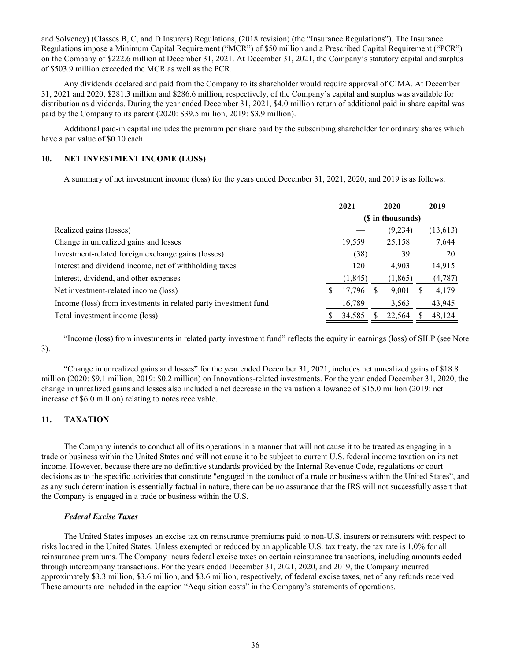and Solvency) (Classes B, C, and D Insurers) Regulations, (2018 revision) (the "Insurance Regulations"). The Insurance Regulations impose a Minimum Capital Requirement ("MCR") of \$50 million and a Prescribed Capital Requirement ("PCR") on the Company of \$222.6 million at December 31, 2021. At December 31, 2021, the Company's statutory capital and surplus of \$503.9 million exceeded the MCR as well as the PCR.

Any dividends declared and paid from the Company to its shareholder would require approval of CIMA. At December 31, 2021 and 2020, \$281.3 million and \$286.6 million, respectively, of the Company's capital and surplus was available for distribution as dividends. During the year ended December 31, 2021, \$4.0 million return of additional paid in share capital was paid by the Company to its parent (2020: \$39.5 million, 2019: \$3.9 million).

Additional paid-in capital includes the premium per share paid by the subscribing shareholder for ordinary shares which have a par value of \$0.10 each.

## **10. NET INVESTMENT INCOME (LOSS)**

A summary of net investment income (loss) for the years ended December 31, 2021, 2020, and 2019 is as follows:

|                                                                 | 2021     |   | 2020              | 2019     |
|-----------------------------------------------------------------|----------|---|-------------------|----------|
|                                                                 |          |   | (\$ in thousands) |          |
| Realized gains (losses)                                         |          |   | (9,234)           | (13,613) |
| Change in unrealized gains and losses                           | 19,559   |   | 25,158            | 7,644    |
| Investment-related foreign exchange gains (losses)              | (38)     |   | 39                | 20       |
| Interest and dividend income, net of withholding taxes          | 120      |   | 4,903             | 14,915   |
| Interest, dividend, and other expenses                          | (1, 845) |   | (1, 865)          | (4,787)  |
| Net investment-related income (loss)                            | 17,796   | S | 19,001            | 4,179    |
| Income (loss) from investments in related party investment fund | 16,789   |   | 3,563             | 43,945   |
| Total investment income (loss)                                  | 34,585   |   | 22,564            | 48,124   |

"Income (loss) from investments in related party investment fund" reflects the equity in earnings (loss) of SILP (see Note 3).

"Change in unrealized gains and losses" for the year ended December 31, 2021, includes net unrealized gains of \$18.8 million (2020: \$9.1 million, 2019: \$0.2 million) on Innovations-related investments. For the year ended December 31, 2020, the change in unrealized gains and losses also included a net decrease in the valuation allowance of \$15.0 million (2019: net increase of \$6.0 million) relating to notes receivable.

# **11. TAXATION**

The Company intends to conduct all of its operations in a manner that will not cause it to be treated as engaging in a trade or business within the United States and will not cause it to be subject to current U.S. federal income taxation on its net income. However, because there are no definitive standards provided by the Internal Revenue Code, regulations or court decisions as to the specific activities that constitute "engaged in the conduct of a trade or business within the United States", and as any such determination is essentially factual in nature, there can be no assurance that the IRS will not successfully assert that the Company is engaged in a trade or business within the U.S.

## *Federal Excise Taxes*

The United States imposes an excise tax on reinsurance premiums paid to non-U.S. insurers or reinsurers with respect to risks located in the United States. Unless exempted or reduced by an applicable U.S. tax treaty, the tax rate is 1.0% for all reinsurance premiums. The Company incurs federal excise taxes on certain reinsurance transactions, including amounts ceded through intercompany transactions. For the years ended December 31, 2021, 2020, and 2019, the Company incurred approximately \$3.3 million, \$3.6 million, and \$3.6 million, respectively, of federal excise taxes, net of any refunds received. These amounts are included in the caption "Acquisition costs" in the Company's statements of operations.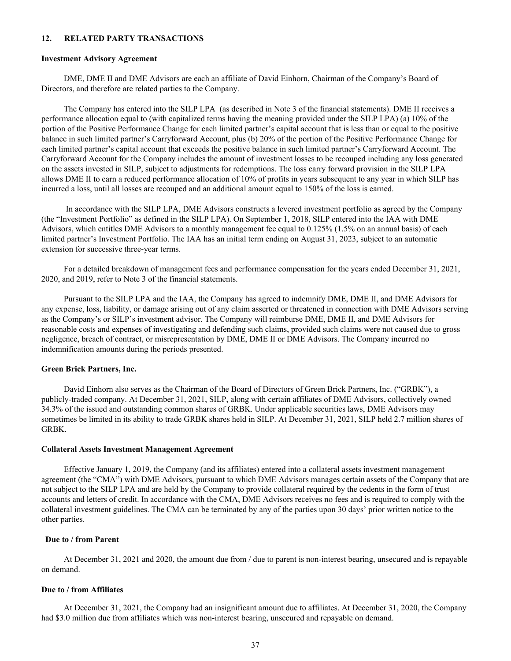## **12. RELATED PARTY TRANSACTIONS**

### **Investment Advisory Agreement**

DME, DME II and DME Advisors are each an affiliate of David Einhorn, Chairman of the Company's Board of Directors, and therefore are related parties to the Company.

The Company has entered into the SILP LPA (as described in Note 3 of the financial statements). DME II receives a performance allocation equal to (with capitalized terms having the meaning provided under the SILP LPA) (a) 10% of the portion of the Positive Performance Change for each limited partner's capital account that is less than or equal to the positive balance in such limited partner's Carryforward Account, plus (b) 20% of the portion of the Positive Performance Change for each limited partner's capital account that exceeds the positive balance in such limited partner's Carryforward Account. The Carryforward Account for the Company includes the amount of investment losses to be recouped including any loss generated on the assets invested in SILP, subject to adjustments for redemptions. The loss carry forward provision in the SILP LPA allows DME II to earn a reduced performance allocation of 10% of profits in years subsequent to any year in which SILP has incurred a loss, until all losses are recouped and an additional amount equal to 150% of the loss is earned.

 In accordance with the SILP LPA, DME Advisors constructs a levered investment portfolio as agreed by the Company (the "Investment Portfolio" as defined in the SILP LPA). On September 1, 2018, SILP entered into the IAA with DME Advisors, which entitles DME Advisors to a monthly management fee equal to 0.125% (1.5% on an annual basis) of each limited partner's Investment Portfolio. The IAA has an initial term ending on August 31, 2023, subject to an automatic extension for successive three-year terms.

For a detailed breakdown of management fees and performance compensation for the years ended December 31, 2021, 2020, and 2019, refer to Note 3 of the financial statements.

Pursuant to the SILP LPA and the IAA, the Company has agreed to indemnify DME, DME II, and DME Advisors for any expense, loss, liability, or damage arising out of any claim asserted or threatened in connection with DME Advisors serving as the Company's or SILP's investment advisor. The Company will reimburse DME, DME II, and DME Advisors for reasonable costs and expenses of investigating and defending such claims, provided such claims were not caused due to gross negligence, breach of contract, or misrepresentation by DME, DME II or DME Advisors. The Company incurred no indemnification amounts during the periods presented.

### **Green Brick Partners, Inc.**

David Einhorn also serves as the Chairman of the Board of Directors of Green Brick Partners, Inc. ("GRBK"), a publicly-traded company. At December 31, 2021, SILP, along with certain affiliates of DME Advisors, collectively owned 34.3% of the issued and outstanding common shares of GRBK. Under applicable securities laws, DME Advisors may sometimes be limited in its ability to trade GRBK shares held in SILP. At December 31, 2021, SILP held 2.7 million shares of GRBK.

### **Collateral Assets Investment Management Agreement**

Effective January 1, 2019, the Company (and its affiliates) entered into a collateral assets investment management agreement (the "CMA") with DME Advisors, pursuant to which DME Advisors manages certain assets of the Company that are not subject to the SILP LPA and are held by the Company to provide collateral required by the cedents in the form of trust accounts and letters of credit. In accordance with the CMA, DME Advisors receives no fees and is required to comply with the collateral investment guidelines. The CMA can be terminated by any of the parties upon 30 days' prior written notice to the other parties.

### **Due to / from Parent**

At December 31, 2021 and 2020, the amount due from / due to parent is non-interest bearing, unsecured and is repayable on demand.

## **Due to / from Affiliates**

At December 31, 2021, the Company had an insignificant amount due to affiliates. At December 31, 2020, the Company had \$3.0 million due from affiliates which was non-interest bearing, unsecured and repayable on demand.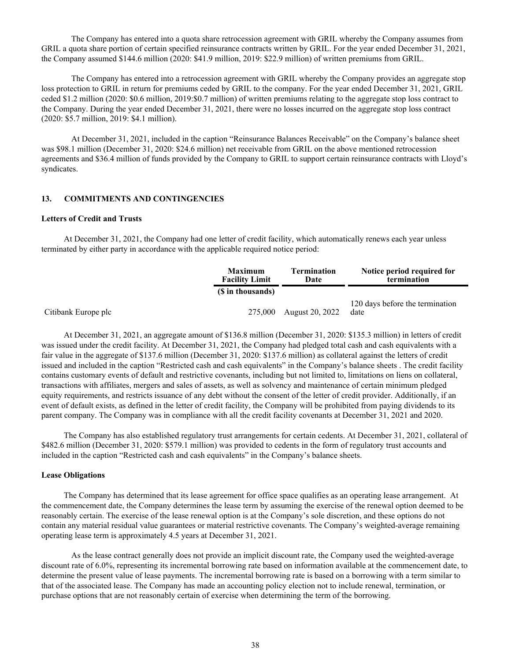The Company has entered into a quota share retrocession agreement with GRIL whereby the Company assumes from GRIL a quota share portion of certain specified reinsurance contracts written by GRIL. For the year ended December 31, 2021, the Company assumed \$144.6 million (2020: \$41.9 million, 2019: \$22.9 million) of written premiums from GRIL.

The Company has entered into a retrocession agreement with GRIL whereby the Company provides an aggregate stop loss protection to GRIL in return for premiums ceded by GRIL to the company. For the year ended December 31, 2021, GRIL ceded \$1.2 million (2020: \$0.6 million, 2019:\$0.7 million) of written premiums relating to the aggregate stop loss contract to the Company. During the year ended December 31, 2021, there were no losses incurred on the aggregate stop loss contract (2020: \$5.7 million, 2019: \$4.1 million).

At December 31, 2021, included in the caption "Reinsurance Balances Receivable" on the Company's balance sheet was \$98.1 million (December 31, 2020: \$24.6 million) net receivable from GRIL on the above mentioned retrocession agreements and \$36.4 million of funds provided by the Company to GRIL to support certain reinsurance contracts with Lloyd's syndicates.

## **13. COMMITMENTS AND CONTINGENCIES**

### **Letters of Credit and Trusts**

At December 31, 2021, the Company had one letter of credit facility, which automatically renews each year unless terminated by either party in accordance with the applicable required notice period:

|                     | <b>Maximum</b><br><b>Facility Limit</b> | <b>Termination</b><br>Date | Notice period required for<br>termination |
|---------------------|-----------------------------------------|----------------------------|-------------------------------------------|
|                     | (\$ in thousands)                       |                            |                                           |
| Citibank Europe plc | 275,000                                 | August 20, 2022            | 120 days before the termination<br>date   |

At December 31, 2021, an aggregate amount of \$136.8 million (December 31, 2020: \$135.3 million) in letters of credit was issued under the credit facility. At December 31, 2021, the Company had pledged total cash and cash equivalents with a fair value in the aggregate of \$137.6 million (December 31, 2020: \$137.6 million) as collateral against the letters of credit issued and included in the caption "Restricted cash and cash equivalents" in the Company's balance sheets . The credit facility contains customary events of default and restrictive covenants, including but not limited to, limitations on liens on collateral, transactions with affiliates, mergers and sales of assets, as well as solvency and maintenance of certain minimum pledged equity requirements, and restricts issuance of any debt without the consent of the letter of credit provider. Additionally, if an event of default exists, as defined in the letter of credit facility, the Company will be prohibited from paying dividends to its parent company. The Company was in compliance with all the credit facility covenants at December 31, 2021 and 2020.

The Company has also established regulatory trust arrangements for certain cedents. At December 31, 2021, collateral of \$482.6 million (December 31, 2020: \$579.1 million) was provided to cedents in the form of regulatory trust accounts and included in the caption "Restricted cash and cash equivalents" in the Company's balance sheets.

### **Lease Obligations**

The Company has determined that its lease agreement for office space qualifies as an operating lease arrangement. At the commencement date, the Company determines the lease term by assuming the exercise of the renewal option deemed to be reasonably certain. The exercise of the lease renewal option is at the Company's sole discretion, and these options do not contain any material residual value guarantees or material restrictive covenants. The Company's weighted-average remaining operating lease term is approximately 4.5 years at December 31, 2021.

As the lease contract generally does not provide an implicit discount rate, the Company used the weighted-average discount rate of 6.0%, representing its incremental borrowing rate based on information available at the commencement date, to determine the present value of lease payments. The incremental borrowing rate is based on a borrowing with a term similar to that of the associated lease. The Company has made an accounting policy election not to include renewal, termination, or purchase options that are not reasonably certain of exercise when determining the term of the borrowing.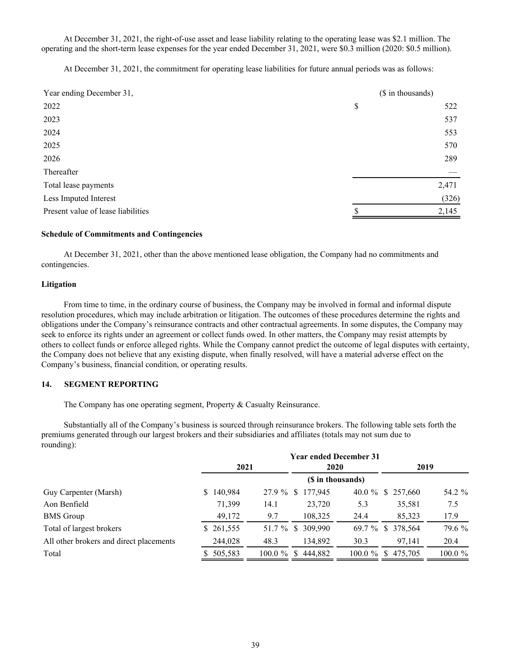At December 31, 2021, the right-of-use asset and lease liability relating to the operating lease was \$2.1 million. The operating and the short-term lease expenses for the year ended December 31, 2021, were \$0.3 million (2020: \$0.5 million).

At December 31, 2021, the commitment for operating lease liabilities for future annual periods was as follows:

| Year ending December 31,           | (\$ in thousands) |  |
|------------------------------------|-------------------|--|
| 2022                               | \$<br>522         |  |
| 2023                               | 537               |  |
| 2024                               | 553               |  |
| 2025                               | 570               |  |
| 2026                               | 289               |  |
| Thereafter                         |                   |  |
| Total lease payments               | 2,471             |  |
| Less Imputed Interest              | (326)             |  |
| Present value of lease liabilities | 2,145             |  |

## **Schedule of Commitments and Contingencies**

At December 31, 2021, other than the above mentioned lease obligation, the Company had no commitments and contingencies.

## **Litigation**

From time to time, in the ordinary course of business, the Company may be involved in formal and informal dispute resolution procedures, which may include arbitration or litigation. The outcomes of these procedures determine the rights and obligations under the Company's reinsurance contracts and other contractual agreements. In some disputes, the Company may seek to enforce its rights under an agreement or collect funds owed. In other matters, the Company may resist attempts by others to collect funds or enforce alleged rights. While the Company cannot predict the outcome of legal disputes with certainty, the Company does not believe that any existing dispute, when finally resolved, will have a material adverse effect on the Company's business, financial condition, or operating results.

## **14. SEGMENT REPORTING**

The Company has one operating segment, Property & Casualty Reinsurance.

Substantially all of the Company's business is sourced through reinsurance brokers. The following table sets forth the premiums generated through our largest brokers and their subsidiaries and affiliates (totals may not sum due to rounding):

|           |      |                         |                                           | 2019                             |                                                                                       |
|-----------|------|-------------------------|-------------------------------------------|----------------------------------|---------------------------------------------------------------------------------------|
|           |      |                         |                                           |                                  |                                                                                       |
| \$140,984 |      | \$177,945               |                                           |                                  | 54.2 %                                                                                |
| 71,399    | 14.1 | 23,720                  | 5.3                                       | 35,581                           | 7.5                                                                                   |
| 49,172    | 9.7  | 108,325                 | 24.4                                      | 85,323                           | 17.9                                                                                  |
| \$261,555 |      |                         |                                           |                                  | 79.6 %                                                                                |
| 244,028   | 48.3 | 134,892                 | 30.3                                      | 97.141                           | 20.4                                                                                  |
| 505,583   |      | 444.882<br><sup>S</sup> |                                           | \$475,705                        | $100.0 \%$                                                                            |
|           |      | 2021                    | 27.9 %<br>51.7 % \$ 309,990<br>$100.0 \%$ | <b>2020</b><br>(\$ in thousands) | <b>Year ended December 31</b><br>40.0 % \$ 257,660<br>69.7 % \$ 378,564<br>$100.0 \%$ |